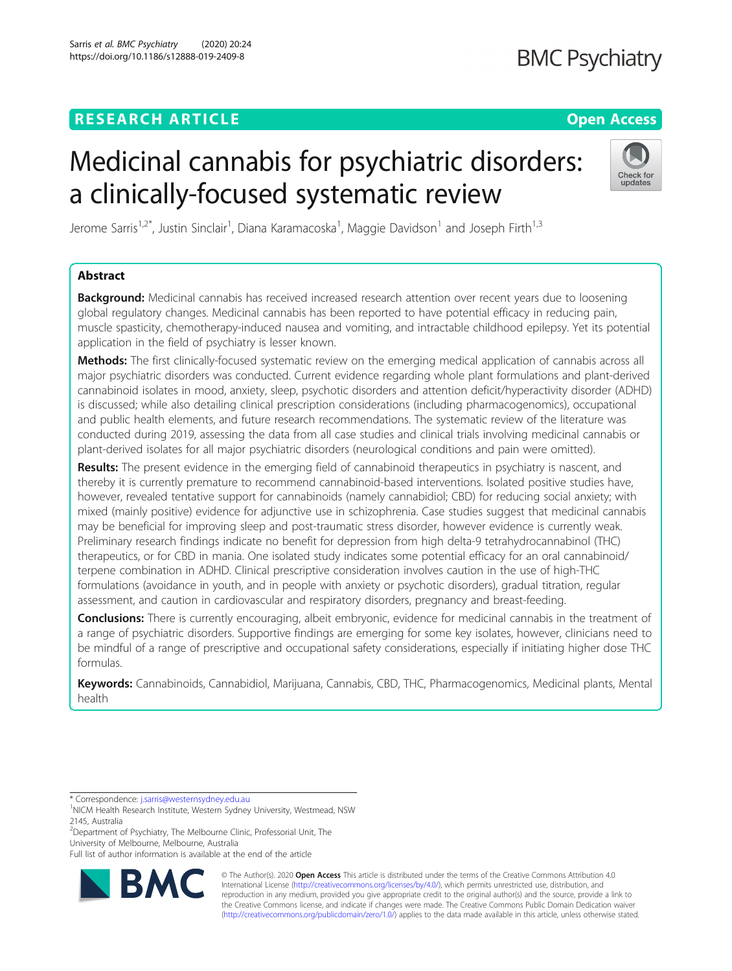# **RESEARCH ARTICLE Example 2018 12:30 THE OPEN ACCESS**

# **BMC Psychiatry**

# Medicinal cannabis for psychiatric disorders: a clinically-focused systematic review



Jerome Sarris<sup>1,2\*</sup>, Justin Sinclair<sup>1</sup>, Diana Karamacoska<sup>1</sup>, Maggie Davidson<sup>1</sup> and Joseph Firth<sup>1,3</sup>

## Abstract

Background: Medicinal cannabis has received increased research attention over recent years due to loosening global regulatory changes. Medicinal cannabis has been reported to have potential efficacy in reducing pain, muscle spasticity, chemotherapy-induced nausea and vomiting, and intractable childhood epilepsy. Yet its potential application in the field of psychiatry is lesser known.

Methods: The first clinically-focused systematic review on the emerging medical application of cannabis across all major psychiatric disorders was conducted. Current evidence regarding whole plant formulations and plant-derived cannabinoid isolates in mood, anxiety, sleep, psychotic disorders and attention deficit/hyperactivity disorder (ADHD) is discussed; while also detailing clinical prescription considerations (including pharmacogenomics), occupational and public health elements, and future research recommendations. The systematic review of the literature was conducted during 2019, assessing the data from all case studies and clinical trials involving medicinal cannabis or plant-derived isolates for all major psychiatric disorders (neurological conditions and pain were omitted).

Results: The present evidence in the emerging field of cannabinoid therapeutics in psychiatry is nascent, and thereby it is currently premature to recommend cannabinoid-based interventions. Isolated positive studies have, however, revealed tentative support for cannabinoids (namely cannabidiol; CBD) for reducing social anxiety; with mixed (mainly positive) evidence for adjunctive use in schizophrenia. Case studies suggest that medicinal cannabis may be beneficial for improving sleep and post-traumatic stress disorder, however evidence is currently weak. Preliminary research findings indicate no benefit for depression from high delta-9 tetrahydrocannabinol (THC) therapeutics, or for CBD in mania. One isolated study indicates some potential efficacy for an oral cannabinoid/ terpene combination in ADHD. Clinical prescriptive consideration involves caution in the use of high-THC formulations (avoidance in youth, and in people with anxiety or psychotic disorders), gradual titration, regular assessment, and caution in cardiovascular and respiratory disorders, pregnancy and breast-feeding.

Conclusions: There is currently encouraging, albeit embryonic, evidence for medicinal cannabis in the treatment of a range of psychiatric disorders. Supportive findings are emerging for some key isolates, however, clinicians need to be mindful of a range of prescriptive and occupational safety considerations, especially if initiating higher dose THC formulas.

Keywords: Cannabinoids, Cannabidiol, Marijuana, Cannabis, CBD, THC, Pharmacogenomics, Medicinal plants, Mental health

<sup>2</sup>Department of Psychiatry, The Melbourne Clinic, Professorial Unit, The University of Melbourne, Melbourne, Australia

Full list of author information is available at the end of the article



© The Author(s). 2020 **Open Access** This article is distributed under the terms of the Creative Commons Attribution 4.0 International License [\(http://creativecommons.org/licenses/by/4.0/](http://creativecommons.org/licenses/by/4.0/)), which permits unrestricted use, distribution, and reproduction in any medium, provided you give appropriate credit to the original author(s) and the source, provide a link to the Creative Commons license, and indicate if changes were made. The Creative Commons Public Domain Dedication waiver [\(http://creativecommons.org/publicdomain/zero/1.0/](http://creativecommons.org/publicdomain/zero/1.0/)) applies to the data made available in this article, unless otherwise stated.

<sup>\*</sup> Correspondence: [j.sarris@westernsydney.edu.au](mailto:j.sarris@westernsydney.edu.au) <sup>1</sup>

<sup>&</sup>lt;sup>1</sup>NICM Health Research Institute, Western Sydney University, Westmead, NSW 2145, Australia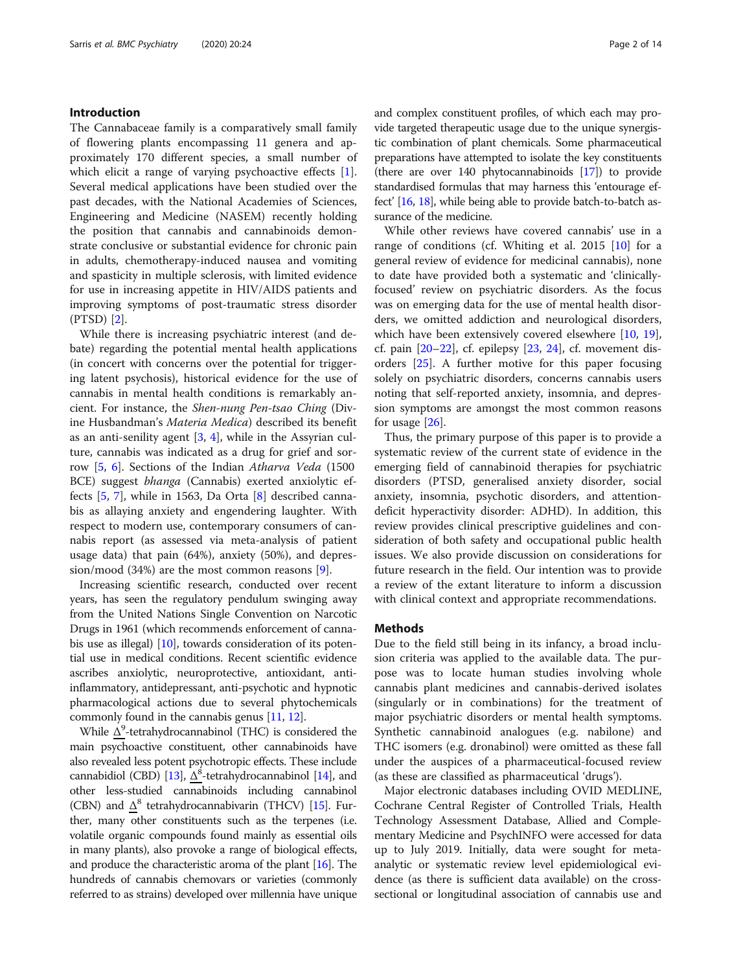#### Introduction

The Cannabaceae family is a comparatively small family of flowering plants encompassing 11 genera and approximately 170 different species, a small number of which elicit a range of varying psychoactive effects [\[1](#page-10-0)]. Several medical applications have been studied over the past decades, with the National Academies of Sciences, Engineering and Medicine (NASEM) recently holding the position that cannabis and cannabinoids demonstrate conclusive or substantial evidence for chronic pain in adults, chemotherapy-induced nausea and vomiting and spasticity in multiple sclerosis, with limited evidence for use in increasing appetite in HIV/AIDS patients and improving symptoms of post-traumatic stress disorder (PTSD) [\[2](#page-10-0)].

While there is increasing psychiatric interest (and debate) regarding the potential mental health applications (in concert with concerns over the potential for triggering latent psychosis), historical evidence for the use of cannabis in mental health conditions is remarkably ancient. For instance, the Shen-nung Pen-tsao Ching (Divine Husbandman's Materia Medica) described its benefit as an anti-senility agent [[3,](#page-10-0) [4\]](#page-11-0), while in the Assyrian culture, cannabis was indicated as a drug for grief and sorrow [[5,](#page-11-0) [6\]](#page-11-0). Sections of the Indian Atharva Veda (1500 BCE) suggest bhanga (Cannabis) exerted anxiolytic effects [[5,](#page-11-0) [7\]](#page-11-0), while in 1563, Da Orta [\[8\]](#page-11-0) described cannabis as allaying anxiety and engendering laughter. With respect to modern use, contemporary consumers of cannabis report (as assessed via meta-analysis of patient usage data) that pain (64%), anxiety (50%), and depression/mood (34%) are the most common reasons [\[9](#page-11-0)].

Increasing scientific research, conducted over recent years, has seen the regulatory pendulum swinging away from the United Nations Single Convention on Narcotic Drugs in 1961 (which recommends enforcement of cannabis use as illegal) [[10\]](#page-11-0), towards consideration of its potential use in medical conditions. Recent scientific evidence ascribes anxiolytic, neuroprotective, antioxidant, antiinflammatory, antidepressant, anti-psychotic and hypnotic pharmacological actions due to several phytochemicals commonly found in the cannabis genus [\[11,](#page-11-0) [12](#page-11-0)].

While  $\Delta^9$ -tetrahydrocannabinol (THC) is considered the main psychoactive constituent, other cannabinoids have also revealed less potent psychotropic effects. These include cannabidiol (CBD) [[13](#page-11-0)],  $\Delta^8$ -tetrahydrocannabinol [\[14\]](#page-11-0), and other less-studied cannabinoids including cannabinol (CBN) and  $\Delta^8$  tetrahydrocannabivarin (THCV) [[15](#page-11-0)]. Further, many other constituents such as the terpenes (i.e. volatile organic compounds found mainly as essential oils in many plants), also provoke a range of biological effects, and produce the characteristic aroma of the plant [\[16\]](#page-11-0). The hundreds of cannabis chemovars or varieties (commonly referred to as strains) developed over millennia have unique and complex constituent profiles, of which each may provide targeted therapeutic usage due to the unique synergistic combination of plant chemicals. Some pharmaceutical preparations have attempted to isolate the key constituents (there are over 140 phytocannabinoids [[17](#page-11-0)]) to provide standardised formulas that may harness this 'entourage effect' [\[16,](#page-11-0) [18\]](#page-11-0), while being able to provide batch-to-batch assurance of the medicine.

While other reviews have covered cannabis' use in a range of conditions (cf. Whiting et al. 2015 [\[10](#page-11-0)] for a general review of evidence for medicinal cannabis), none to date have provided both a systematic and 'clinicallyfocused' review on psychiatric disorders. As the focus was on emerging data for the use of mental health disorders, we omitted addiction and neurological disorders, which have been extensively covered elsewhere [[10,](#page-11-0) [19](#page-11-0)], cf. pain  $[20-22]$  $[20-22]$  $[20-22]$ , cf. epilepsy  $[23, 24]$  $[23, 24]$  $[23, 24]$  $[23, 24]$ , cf. movement disorders [\[25\]](#page-11-0). A further motive for this paper focusing solely on psychiatric disorders, concerns cannabis users noting that self-reported anxiety, insomnia, and depression symptoms are amongst the most common reasons for usage [\[26\]](#page-11-0).

Thus, the primary purpose of this paper is to provide a systematic review of the current state of evidence in the emerging field of cannabinoid therapies for psychiatric disorders (PTSD, generalised anxiety disorder, social anxiety, insomnia, psychotic disorders, and attentiondeficit hyperactivity disorder: ADHD). In addition, this review provides clinical prescriptive guidelines and consideration of both safety and occupational public health issues. We also provide discussion on considerations for future research in the field. Our intention was to provide a review of the extant literature to inform a discussion with clinical context and appropriate recommendations.

#### **Methods**

Due to the field still being in its infancy, a broad inclusion criteria was applied to the available data. The purpose was to locate human studies involving whole cannabis plant medicines and cannabis-derived isolates (singularly or in combinations) for the treatment of major psychiatric disorders or mental health symptoms. Synthetic cannabinoid analogues (e.g. nabilone) and THC isomers (e.g. dronabinol) were omitted as these fall under the auspices of a pharmaceutical-focused review (as these are classified as pharmaceutical 'drugs').

Major electronic databases including OVID MEDLINE, Cochrane Central Register of Controlled Trials, Health Technology Assessment Database, Allied and Complementary Medicine and PsychINFO were accessed for data up to July 2019. Initially, data were sought for metaanalytic or systematic review level epidemiological evidence (as there is sufficient data available) on the crosssectional or longitudinal association of cannabis use and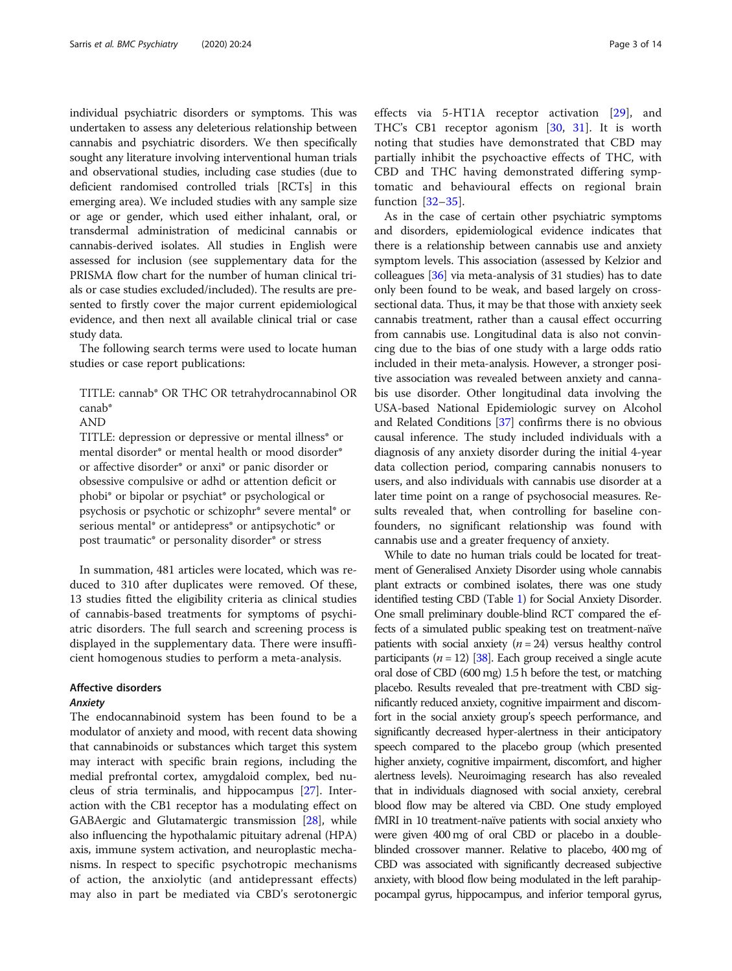individual psychiatric disorders or symptoms. This was undertaken to assess any deleterious relationship between cannabis and psychiatric disorders. We then specifically sought any literature involving interventional human trials and observational studies, including case studies (due to deficient randomised controlled trials [RCTs] in this emerging area). We included studies with any sample size or age or gender, which used either inhalant, oral, or transdermal administration of medicinal cannabis or cannabis-derived isolates. All studies in English were assessed for inclusion (see supplementary data for the PRISMA flow chart for the number of human clinical trials or case studies excluded/included). The results are presented to firstly cover the major current epidemiological evidence, and then next all available clinical trial or case study data.

The following search terms were used to locate human studies or case report publications:

TITLE: cannab\* OR THC OR tetrahydrocannabinol OR canab\*

AND

TITLE: depression or depressive or mental illness\* or mental disorder\* or mental health or mood disorder\* or affective disorder\* or anxi\* or panic disorder or obsessive compulsive or adhd or attention deficit or phobi\* or bipolar or psychiat\* or psychological or psychosis or psychotic or schizophr\* severe mental\* or serious mental\* or antidepress\* or antipsychotic\* or post traumatic\* or personality disorder\* or stress

In summation, 481 articles were located, which was reduced to 310 after duplicates were removed. Of these, 13 studies fitted the eligibility criteria as clinical studies of cannabis-based treatments for symptoms of psychiatric disorders. The full search and screening process is displayed in the supplementary data. There were insufficient homogenous studies to perform a meta-analysis.

#### Affective disorders Anxiety

The endocannabinoid system has been found to be a modulator of anxiety and mood, with recent data showing that cannabinoids or substances which target this system may interact with specific brain regions, including the medial prefrontal cortex, amygdaloid complex, bed nucleus of stria terminalis, and hippocampus [\[27\]](#page-11-0). Interaction with the CB1 receptor has a modulating effect on GABAergic and Glutamatergic transmission [\[28\]](#page-11-0), while also influencing the hypothalamic pituitary adrenal (HPA) axis, immune system activation, and neuroplastic mechanisms. In respect to specific psychotropic mechanisms of action, the anxiolytic (and antidepressant effects) may also in part be mediated via CBD's serotonergic effects via 5-HT1A receptor activation [\[29](#page-11-0)], and THC's CB1 receptor agonism [[30,](#page-11-0) [31](#page-11-0)]. It is worth noting that studies have demonstrated that CBD may partially inhibit the psychoactive effects of THC, with CBD and THC having demonstrated differing symptomatic and behavioural effects on regional brain function [[32](#page-11-0)–[35\]](#page-11-0).

As in the case of certain other psychiatric symptoms and disorders, epidemiological evidence indicates that there is a relationship between cannabis use and anxiety symptom levels. This association (assessed by Kelzior and colleagues [\[36](#page-11-0)] via meta-analysis of 31 studies) has to date only been found to be weak, and based largely on crosssectional data. Thus, it may be that those with anxiety seek cannabis treatment, rather than a causal effect occurring from cannabis use. Longitudinal data is also not convincing due to the bias of one study with a large odds ratio included in their meta-analysis. However, a stronger positive association was revealed between anxiety and cannabis use disorder. Other longitudinal data involving the USA-based National Epidemiologic survey on Alcohol and Related Conditions [\[37\]](#page-11-0) confirms there is no obvious causal inference. The study included individuals with a diagnosis of any anxiety disorder during the initial 4-year data collection period, comparing cannabis nonusers to users, and also individuals with cannabis use disorder at a later time point on a range of psychosocial measures. Results revealed that, when controlling for baseline confounders, no significant relationship was found with cannabis use and a greater frequency of anxiety.

While to date no human trials could be located for treatment of Generalised Anxiety Disorder using whole cannabis plant extracts or combined isolates, there was one study identified testing CBD (Table [1](#page-3-0)) for Social Anxiety Disorder. One small preliminary double-blind RCT compared the effects of a simulated public speaking test on treatment-naïve patients with social anxiety  $(n = 24)$  versus healthy control participants ( $n = 12$ ) [[38\]](#page-11-0). Each group received a single acute oral dose of CBD (600 mg) 1.5 h before the test, or matching placebo. Results revealed that pre-treatment with CBD significantly reduced anxiety, cognitive impairment and discomfort in the social anxiety group's speech performance, and significantly decreased hyper-alertness in their anticipatory speech compared to the placebo group (which presented higher anxiety, cognitive impairment, discomfort, and higher alertness levels). Neuroimaging research has also revealed that in individuals diagnosed with social anxiety, cerebral blood flow may be altered via CBD. One study employed fMRI in 10 treatment-naïve patients with social anxiety who were given 400 mg of oral CBD or placebo in a doubleblinded crossover manner. Relative to placebo, 400 mg of CBD was associated with significantly decreased subjective anxiety, with blood flow being modulated in the left parahippocampal gyrus, hippocampus, and inferior temporal gyrus,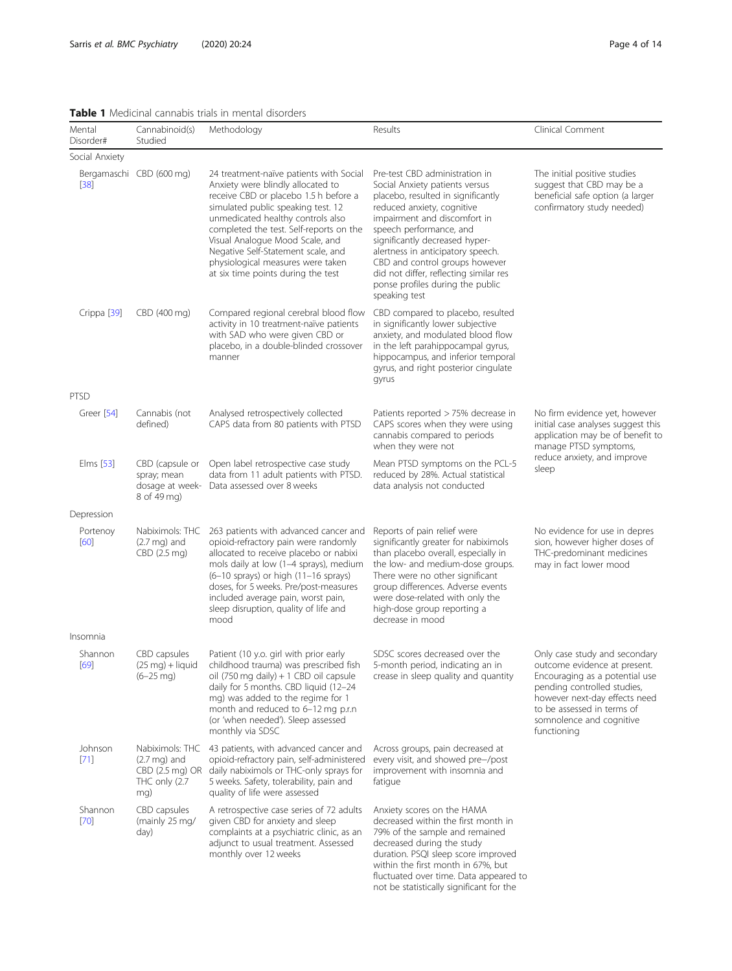### <span id="page-3-0"></span>Table 1 Medicinal cannabis trials in mental disorders

| Mental<br>Disorder# | Cannabinoid(s)<br>Studied                                                            | Methodology                                                                                                                                                                                                                                                                                                                                                                                     | Results                                                                                                                                                                                                                                                                                                                                                                                                 | Clinical Comment                                                                                                                                                                                                                         |  |
|---------------------|--------------------------------------------------------------------------------------|-------------------------------------------------------------------------------------------------------------------------------------------------------------------------------------------------------------------------------------------------------------------------------------------------------------------------------------------------------------------------------------------------|---------------------------------------------------------------------------------------------------------------------------------------------------------------------------------------------------------------------------------------------------------------------------------------------------------------------------------------------------------------------------------------------------------|------------------------------------------------------------------------------------------------------------------------------------------------------------------------------------------------------------------------------------------|--|
| Social Anxiety      |                                                                                      |                                                                                                                                                                                                                                                                                                                                                                                                 |                                                                                                                                                                                                                                                                                                                                                                                                         |                                                                                                                                                                                                                                          |  |
| $[38]$              | Bergamaschi CBD (600 mg)                                                             | 24 treatment-naïve patients with Social<br>Anxiety were blindly allocated to<br>receive CBD or placebo 1.5 h before a<br>simulated public speaking test. 12<br>unmedicated healthy controls also<br>completed the test. Self-reports on the<br>Visual Analogue Mood Scale, and<br>Negative Self-Statement scale, and<br>physiological measures were taken<br>at six time points during the test | Pre-test CBD administration in<br>Social Anxiety patients versus<br>placebo, resulted in significantly<br>reduced anxiety, cognitive<br>impairment and discomfort in<br>speech performance, and<br>significantly decreased hyper-<br>alertness in anticipatory speech.<br>CBD and control groups however<br>did not differ, reflecting similar res<br>ponse profiles during the public<br>speaking test | The initial positive studies<br>suggest that CBD may be a<br>beneficial safe option (a larger<br>confirmatory study needed)                                                                                                              |  |
| Crippa [39]         | CBD (400 mg)                                                                         | Compared regional cerebral blood flow<br>activity in 10 treatment-naïve patients<br>with SAD who were given CBD or<br>placebo, in a double-blinded crossover<br>manner                                                                                                                                                                                                                          | CBD compared to placebo, resulted<br>in significantly lower subjective<br>anxiety, and modulated blood flow<br>in the left parahippocampal gyrus,<br>hippocampus, and inferior temporal<br>gyrus, and right posterior cingulate<br>gyrus                                                                                                                                                                |                                                                                                                                                                                                                                          |  |
| <b>PTSD</b>         |                                                                                      |                                                                                                                                                                                                                                                                                                                                                                                                 |                                                                                                                                                                                                                                                                                                                                                                                                         |                                                                                                                                                                                                                                          |  |
| Greer [54]          | Cannabis (not<br>defined)                                                            | Analysed retrospectively collected<br>CAPS data from 80 patients with PTSD                                                                                                                                                                                                                                                                                                                      | Patients reported > 75% decrease in<br>CAPS scores when they were using<br>cannabis compared to periods<br>when they were not                                                                                                                                                                                                                                                                           | No firm evidence yet, however<br>initial case analyses suggest this<br>application may be of benefit to<br>manage PTSD symptoms,<br>reduce anxiety, and improve<br>sleep                                                                 |  |
| Elms [53]           | CBD (capsule or<br>spray; mean<br>dosage at week-<br>8 of 49 mg)                     | Open label retrospective case study<br>data from 11 adult patients with PTSD.<br>Data assessed over 8 weeks                                                                                                                                                                                                                                                                                     | Mean PTSD symptoms on the PCL-5<br>reduced by 28%. Actual statistical<br>data analysis not conducted                                                                                                                                                                                                                                                                                                    |                                                                                                                                                                                                                                          |  |
| Depression          |                                                                                      |                                                                                                                                                                                                                                                                                                                                                                                                 |                                                                                                                                                                                                                                                                                                                                                                                                         |                                                                                                                                                                                                                                          |  |
| Portenoy<br>[60]    | Nabiximols: THC<br>$(2.7 \text{ mg})$ and<br>CBD (2.5 mg)                            | 263 patients with advanced cancer and<br>opioid-refractory pain were randomly<br>allocated to receive placebo or nabixi<br>mols daily at low (1-4 sprays), medium<br>(6-10 sprays) or high (11-16 sprays)<br>doses, for 5 weeks. Pre/post-measures<br>included average pain, worst pain,<br>sleep disruption, quality of life and<br>mood                                                       | Reports of pain relief were<br>significantly greater for nabiximols<br>than placebo overall, especially in<br>the low- and medium-dose groups.<br>There were no other significant<br>group differences. Adverse events<br>were dose-related with only the<br>high-dose group reporting a<br>decrease in mood                                                                                            | No evidence for use in depres<br>sion, however higher doses of<br>THC-predominant medicines<br>may in fact lower mood                                                                                                                    |  |
| Insomnia            |                                                                                      |                                                                                                                                                                                                                                                                                                                                                                                                 |                                                                                                                                                                                                                                                                                                                                                                                                         |                                                                                                                                                                                                                                          |  |
| Shannon<br>[69]     | CBD capsules<br>(25 mg) + liquid<br>$(6-25 \text{ mg})$                              | Patient (10 y.o. girl with prior early<br>childhood trauma) was prescribed fish<br>oil (750 mg daily) + 1 CBD oil capsule<br>daily for 5 months. CBD liquid (12-24<br>mg) was added to the regime for 1<br>month and reduced to 6-12 mg p.r.n<br>(or 'when needed'). Sleep assessed<br>monthly via SDSC                                                                                         | SDSC scores decreased over the<br>5-month period, indicating an in<br>crease in sleep quality and quantity                                                                                                                                                                                                                                                                                              | Only case study and secondary<br>outcome evidence at present.<br>Encouraging as a potential use<br>pending controlled studies,<br>however next-day effects need<br>to be assessed in terms of<br>somnolence and cognitive<br>functioning |  |
| Johnson<br>$[71]$   | Nabiximols: THC<br>$(2.7 \text{ mg})$ and<br>CBD (2.5 mg) OR<br>THC only (2.7<br>mg) | 43 patients, with advanced cancer and<br>opioid-refractory pain, self-administered<br>daily nabiximols or THC-only sprays for<br>5 weeks. Safety, tolerability, pain and<br>quality of life were assessed                                                                                                                                                                                       | Across groups, pain decreased at<br>every visit, and showed pre-/post<br>improvement with insomnia and<br>fatique                                                                                                                                                                                                                                                                                       |                                                                                                                                                                                                                                          |  |
| Shannon<br>$[70]$   | CBD capsules<br>(mainly 25 mg/<br>day)                                               | A retrospective case series of 72 adults<br>given CBD for anxiety and sleep<br>complaints at a psychiatric clinic, as an<br>adjunct to usual treatment. Assessed<br>monthly over 12 weeks                                                                                                                                                                                                       | Anxiety scores on the HAMA<br>decreased within the first month in<br>79% of the sample and remained<br>decreased during the study<br>duration. PSQI sleep score improved<br>within the first month in 67%, but<br>fluctuated over time. Data appeared to                                                                                                                                                |                                                                                                                                                                                                                                          |  |

not be statistically significant for the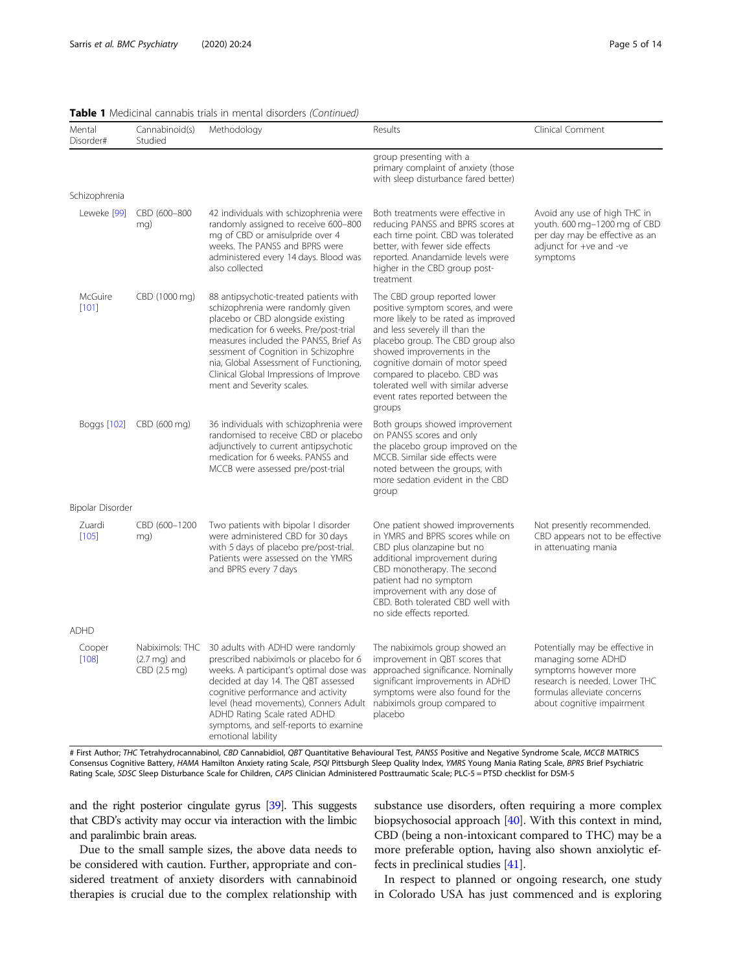| Page 5 of 14 |  |  |  |  |
|--------------|--|--|--|--|
|--------------|--|--|--|--|

| Mental<br>Disorder# | Cannabinoid(s)<br>Studied              | Methodology                                                                                                                                                                                                                                                                                                                                                 | Results                                                                                                                                                                                                                                                                                                                                                                    | Clinical Comment                                                                                                                                                             |
|---------------------|----------------------------------------|-------------------------------------------------------------------------------------------------------------------------------------------------------------------------------------------------------------------------------------------------------------------------------------------------------------------------------------------------------------|----------------------------------------------------------------------------------------------------------------------------------------------------------------------------------------------------------------------------------------------------------------------------------------------------------------------------------------------------------------------------|------------------------------------------------------------------------------------------------------------------------------------------------------------------------------|
|                     |                                        |                                                                                                                                                                                                                                                                                                                                                             | group presenting with a<br>primary complaint of anxiety (those<br>with sleep disturbance fared better)                                                                                                                                                                                                                                                                     |                                                                                                                                                                              |
| Schizophrenia       |                                        |                                                                                                                                                                                                                                                                                                                                                             |                                                                                                                                                                                                                                                                                                                                                                            |                                                                                                                                                                              |
| Leweke [99]         | CBD (600-800<br>mg)                    | 42 individuals with schizophrenia were<br>randomly assigned to receive 600-800<br>mg of CBD or amisulpride over 4<br>weeks. The PANSS and BPRS were<br>administered every 14 days. Blood was<br>also collected                                                                                                                                              | Both treatments were effective in<br>Avoid any use of high THC in<br>youth. 600 mg-1200 mg of CBD<br>reducing PANSS and BPRS scores at<br>per day may be effective as an<br>each time point. CBD was tolerated<br>better, with fewer side effects<br>adjunct for +ve and -ve<br>reported. Anandamide levels were<br>symptoms<br>higher in the CBD group post-<br>treatment |                                                                                                                                                                              |
| McGuire<br>[101]    | CBD (1000 mg)                          | 88 antipsychotic-treated patients with<br>schizophrenia were randomly given<br>placebo or CBD alongside existing<br>medication for 6 weeks. Pre/post-trial<br>measures included the PANSS, Brief As<br>sessment of Cognition in Schizophre<br>nia, Global Assessment of Functioning,<br>Clinical Global Impressions of Improve<br>ment and Severity scales. | The CBD group reported lower<br>positive symptom scores, and were<br>more likely to be rated as improved<br>and less severely ill than the<br>placebo group. The CBD group also<br>showed improvements in the<br>cognitive domain of motor speed<br>compared to placebo. CBD was<br>tolerated well with similar adverse<br>event rates reported between the<br>groups      |                                                                                                                                                                              |
|                     | Boggs [102] CBD (600 mg)               | 36 individuals with schizophrenia were<br>randomised to receive CBD or placebo<br>adjunctively to current antipsychotic<br>medication for 6 weeks. PANSS and<br>MCCB were assessed pre/post-trial                                                                                                                                                           | Both groups showed improvement<br>on PANSS scores and only<br>the placebo group improved on the<br>MCCB. Similar side effects were<br>noted between the groups, with<br>more sedation evident in the CBD<br>group                                                                                                                                                          |                                                                                                                                                                              |
| Bipolar Disorder    |                                        |                                                                                                                                                                                                                                                                                                                                                             |                                                                                                                                                                                                                                                                                                                                                                            |                                                                                                                                                                              |
| Zuardi<br>$[105]$   | CBD (600-1200<br>mg)                   | Two patients with bipolar I disorder<br>were administered CBD for 30 days<br>with 5 days of placebo pre/post-trial.<br>Patients were assessed on the YMRS<br>and BPRS every 7 days                                                                                                                                                                          | One patient showed improvements<br>in YMRS and BPRS scores while on<br>CBD plus olanzapine but no<br>additional improvement during<br>CBD monotherapy. The second<br>patient had no symptom<br>improvement with any dose of<br>CBD. Both tolerated CBD well with<br>no side effects reported.                                                                              | Not presently recommended.<br>CBD appears not to be effective<br>in attenuating mania                                                                                        |
| <b>ADHD</b>         |                                        |                                                                                                                                                                                                                                                                                                                                                             |                                                                                                                                                                                                                                                                                                                                                                            |                                                                                                                                                                              |
| Cooper<br>$[108]$   | $(2.7 \text{ mg})$ and<br>CBD (2.5 mg) | Nabiximols: THC 30 adults with ADHD were randomly<br>prescribed nabiximols or placebo for 6<br>weeks. A participant's optimal dose was<br>decided at day 14. The QBT assessed<br>cognitive performance and activity<br>level (head movements), Conners Adult<br>ADHD Rating Scale rated ADHD<br>symptoms, and self-reports to examine<br>emotional lability | The nabiximols group showed an<br>improvement in QBT scores that<br>approached significance. Nominally<br>significant improvements in ADHD<br>symptoms were also found for the<br>nabiximols group compared to<br>placebo                                                                                                                                                  | Potentially may be effective in<br>managing some ADHD<br>symptoms however more<br>research is needed. Lower THC<br>formulas alleviate concerns<br>about cognitive impairment |

### Table 1 Medicinal cannabis trials in mental disorders (Continued)

# First Author; THC Tetrahydrocannabinol, CBD Cannabidiol, QBT Quantitative Behavioural Test, PANSS Positive and Negative Syndrome Scale, MCCB MATRICS Consensus Cognitive Battery, HAMA Hamilton Anxiety rating Scale, PSQI Pittsburgh Sleep Quality Index, YMRS Young Mania Rating Scale, BPRS Brief Psychiatric Rating Scale, SDSC Sleep Disturbance Scale for Children, CAPS Clinician Administered Posttraumatic Scale; PLC-5 = PTSD checklist for DSM-5

and the right posterior cingulate gyrus [\[39](#page-11-0)]. This suggests that CBD's activity may occur via interaction with the limbic and paralimbic brain areas.

Due to the small sample sizes, the above data needs to be considered with caution. Further, appropriate and considered treatment of anxiety disorders with cannabinoid therapies is crucial due to the complex relationship with substance use disorders, often requiring a more complex biopsychosocial approach [\[40\]](#page-11-0). With this context in mind, CBD (being a non-intoxicant compared to THC) may be a more preferable option, having also shown anxiolytic effects in preclinical studies [\[41\]](#page-11-0).

In respect to planned or ongoing research, one study in Colorado USA has just commenced and is exploring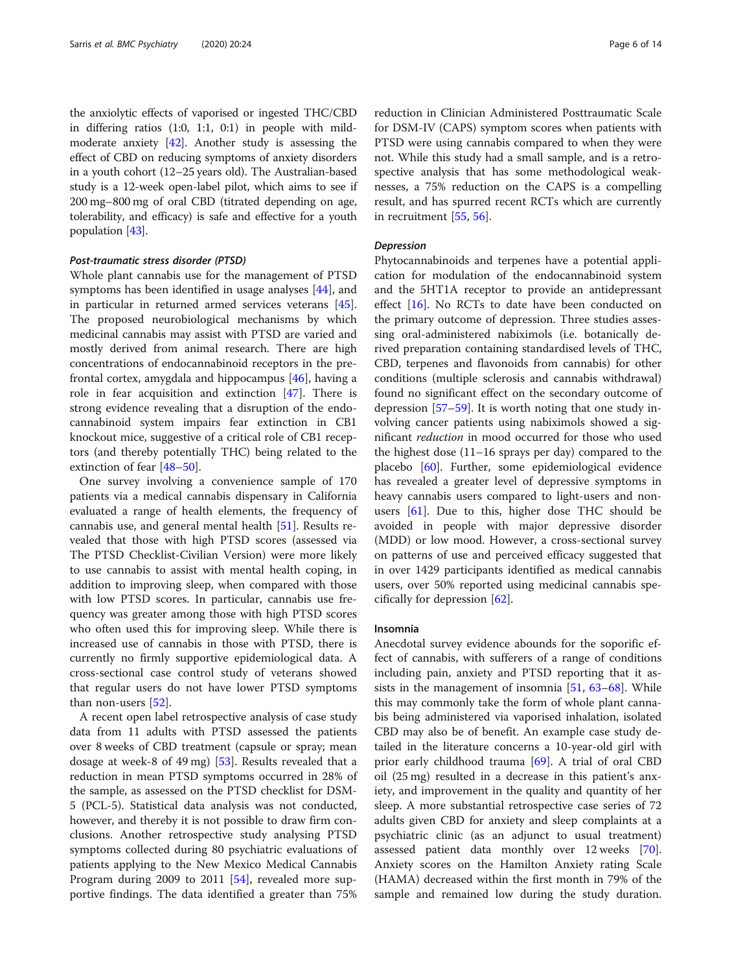the anxiolytic effects of vaporised or ingested THC/CBD in differing ratios (1:0, 1:1, 0:1) in people with mildmoderate anxiety [[42](#page-11-0)]. Another study is assessing the effect of CBD on reducing symptoms of anxiety disorders in a youth cohort (12–25 years old). The Australian-based study is a 12-week open-label pilot, which aims to see if 200 mg–800 mg of oral CBD (titrated depending on age, tolerability, and efficacy) is safe and effective for a youth population [[43](#page-11-0)].

#### Post-traumatic stress disorder (PTSD)

Whole plant cannabis use for the management of PTSD symptoms has been identified in usage analyses [\[44](#page-11-0)], and in particular in returned armed services veterans [\[45](#page-11-0)]. The proposed neurobiological mechanisms by which medicinal cannabis may assist with PTSD are varied and mostly derived from animal research. There are high concentrations of endocannabinoid receptors in the prefrontal cortex, amygdala and hippocampus [[46\]](#page-11-0), having a role in fear acquisition and extinction [\[47](#page-11-0)]. There is strong evidence revealing that a disruption of the endocannabinoid system impairs fear extinction in CB1 knockout mice, suggestive of a critical role of CB1 receptors (and thereby potentially THC) being related to the extinction of fear [[48](#page-11-0)–[50\]](#page-11-0).

One survey involving a convenience sample of 170 patients via a medical cannabis dispensary in California evaluated a range of health elements, the frequency of cannabis use, and general mental health [\[51](#page-11-0)]. Results revealed that those with high PTSD scores (assessed via The PTSD Checklist-Civilian Version) were more likely to use cannabis to assist with mental health coping, in addition to improving sleep, when compared with those with low PTSD scores. In particular, cannabis use frequency was greater among those with high PTSD scores who often used this for improving sleep. While there is increased use of cannabis in those with PTSD, there is currently no firmly supportive epidemiological data. A cross-sectional case control study of veterans showed that regular users do not have lower PTSD symptoms than non-users [[52](#page-11-0)].

A recent open label retrospective analysis of case study data from 11 adults with PTSD assessed the patients over 8 weeks of CBD treatment (capsule or spray; mean dosage at week-8 of 49 mg) [[53\]](#page-11-0). Results revealed that a reduction in mean PTSD symptoms occurred in 28% of the sample, as assessed on the PTSD checklist for DSM-5 (PCL-5). Statistical data analysis was not conducted, however, and thereby it is not possible to draw firm conclusions. Another retrospective study analysing PTSD symptoms collected during 80 psychiatric evaluations of patients applying to the New Mexico Medical Cannabis Program during 2009 to 2011 [\[54](#page-11-0)], revealed more supportive findings. The data identified a greater than 75%

reduction in Clinician Administered Posttraumatic Scale for DSM-IV (CAPS) symptom scores when patients with PTSD were using cannabis compared to when they were not. While this study had a small sample, and is a retrospective analysis that has some methodological weaknesses, a 75% reduction on the CAPS is a compelling result, and has spurred recent RCTs which are currently in recruitment [\[55,](#page-11-0) [56\]](#page-11-0).

#### Depression

Phytocannabinoids and terpenes have a potential application for modulation of the endocannabinoid system and the 5HT1A receptor to provide an antidepressant effect [[16](#page-11-0)]. No RCTs to date have been conducted on the primary outcome of depression. Three studies assessing oral-administered nabiximols (i.e. botanically derived preparation containing standardised levels of THC, CBD, terpenes and flavonoids from cannabis) for other conditions (multiple sclerosis and cannabis withdrawal) found no significant effect on the secondary outcome of depression [[57](#page-12-0)–[59](#page-12-0)]. It is worth noting that one study involving cancer patients using nabiximols showed a significant reduction in mood occurred for those who used the highest dose (11–16 sprays per day) compared to the placebo [\[60](#page-12-0)]. Further, some epidemiological evidence has revealed a greater level of depressive symptoms in heavy cannabis users compared to light-users and nonusers  $[61]$  $[61]$ . Due to this, higher dose THC should be avoided in people with major depressive disorder (MDD) or low mood. However, a cross-sectional survey on patterns of use and perceived efficacy suggested that in over 1429 participants identified as medical cannabis users, over 50% reported using medicinal cannabis specifically for depression [[62](#page-12-0)].

#### Insomnia

Anecdotal survey evidence abounds for the soporific effect of cannabis, with sufferers of a range of conditions including pain, anxiety and PTSD reporting that it assists in the management of insomnia [\[51](#page-11-0), [63](#page-12-0)–[68](#page-12-0)]. While this may commonly take the form of whole plant cannabis being administered via vaporised inhalation, isolated CBD may also be of benefit. An example case study detailed in the literature concerns a 10-year-old girl with prior early childhood trauma [[69\]](#page-12-0). A trial of oral CBD oil (25 mg) resulted in a decrease in this patient's anxiety, and improvement in the quality and quantity of her sleep. A more substantial retrospective case series of 72 adults given CBD for anxiety and sleep complaints at a psychiatric clinic (as an adjunct to usual treatment) assessed patient data monthly over 12 weeks [\[70](#page-12-0)]. Anxiety scores on the Hamilton Anxiety rating Scale (HAMA) decreased within the first month in 79% of the sample and remained low during the study duration.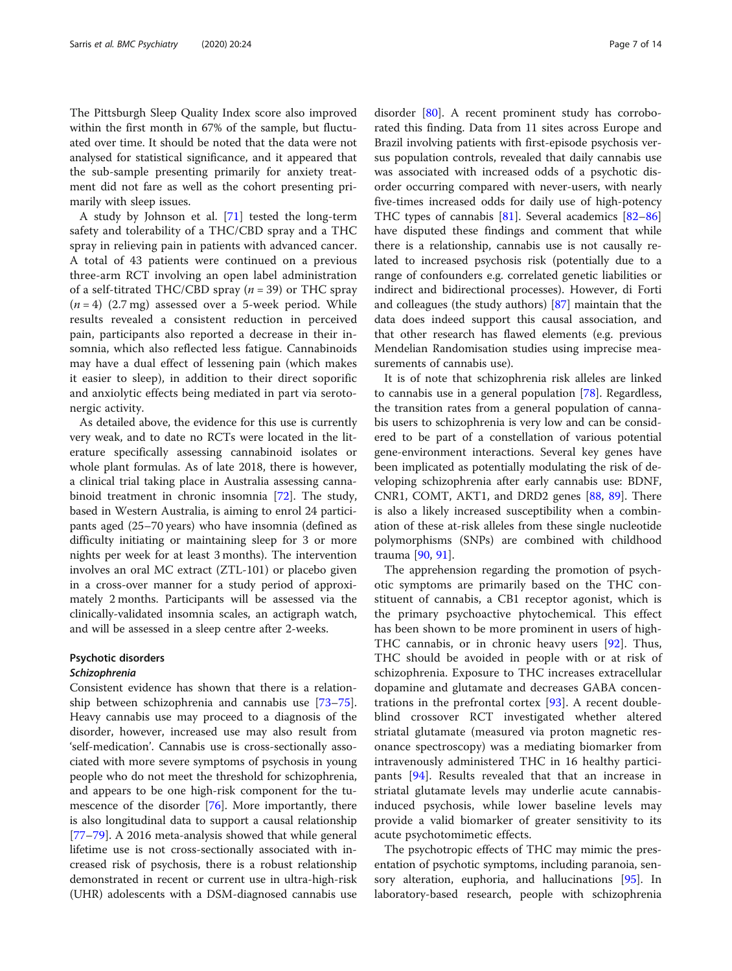The Pittsburgh Sleep Quality Index score also improved within the first month in 67% of the sample, but fluctuated over time. It should be noted that the data were not analysed for statistical significance, and it appeared that the sub-sample presenting primarily for anxiety treatment did not fare as well as the cohort presenting primarily with sleep issues.

A study by Johnson et al. [\[71\]](#page-12-0) tested the long-term safety and tolerability of a THC/CBD spray and a THC spray in relieving pain in patients with advanced cancer. A total of 43 patients were continued on a previous three-arm RCT involving an open label administration of a self-titrated THC/CBD spray ( $n = 39$ ) or THC spray  $(n = 4)$  (2.7 mg) assessed over a 5-week period. While results revealed a consistent reduction in perceived pain, participants also reported a decrease in their insomnia, which also reflected less fatigue. Cannabinoids may have a dual effect of lessening pain (which makes it easier to sleep), in addition to their direct soporific and anxiolytic effects being mediated in part via serotonergic activity.

As detailed above, the evidence for this use is currently very weak, and to date no RCTs were located in the literature specifically assessing cannabinoid isolates or whole plant formulas. As of late 2018, there is however, a clinical trial taking place in Australia assessing cannabinoid treatment in chronic insomnia [[72\]](#page-12-0). The study, based in Western Australia, is aiming to enrol 24 participants aged (25–70 years) who have insomnia (defined as difficulty initiating or maintaining sleep for 3 or more nights per week for at least 3 months). The intervention involves an oral MC extract (ZTL-101) or placebo given in a cross-over manner for a study period of approximately 2 months. Participants will be assessed via the clinically-validated insomnia scales, an actigraph watch, and will be assessed in a sleep centre after 2-weeks.

#### Psychotic disorders Schizophrenia

Consistent evidence has shown that there is a relationship between schizophrenia and cannabis use [[73](#page-12-0)–[75](#page-12-0)]. Heavy cannabis use may proceed to a diagnosis of the disorder, however, increased use may also result from 'self-medication'. Cannabis use is cross-sectionally associated with more severe symptoms of psychosis in young people who do not meet the threshold for schizophrenia, and appears to be one high-risk component for the tumescence of the disorder [[76\]](#page-12-0). More importantly, there is also longitudinal data to support a causal relationship [[77](#page-12-0)–[79](#page-12-0)]. A 2016 meta-analysis showed that while general lifetime use is not cross-sectionally associated with increased risk of psychosis, there is a robust relationship demonstrated in recent or current use in ultra-high-risk (UHR) adolescents with a DSM-diagnosed cannabis use disorder [[80](#page-12-0)]. A recent prominent study has corroborated this finding. Data from 11 sites across Europe and Brazil involving patients with first-episode psychosis versus population controls, revealed that daily cannabis use was associated with increased odds of a psychotic disorder occurring compared with never-users, with nearly five-times increased odds for daily use of high-potency THC types of cannabis [[81\]](#page-12-0). Several academics [[82](#page-12-0)–[86](#page-12-0)] have disputed these findings and comment that while there is a relationship, cannabis use is not causally related to increased psychosis risk (potentially due to a range of confounders e.g. correlated genetic liabilities or indirect and bidirectional processes). However, di Forti and colleagues (the study authors) [[87](#page-12-0)] maintain that the data does indeed support this causal association, and that other research has flawed elements (e.g. previous Mendelian Randomisation studies using imprecise measurements of cannabis use).

It is of note that schizophrenia risk alleles are linked to cannabis use in a general population [[78\]](#page-12-0). Regardless, the transition rates from a general population of cannabis users to schizophrenia is very low and can be considered to be part of a constellation of various potential gene-environment interactions. Several key genes have been implicated as potentially modulating the risk of developing schizophrenia after early cannabis use: BDNF, CNR1, COMT, AKT1, and DRD2 genes [[88](#page-12-0), [89](#page-12-0)]. There is also a likely increased susceptibility when a combination of these at-risk alleles from these single nucleotide polymorphisms (SNPs) are combined with childhood trauma [[90,](#page-12-0) [91\]](#page-12-0).

The apprehension regarding the promotion of psychotic symptoms are primarily based on the THC constituent of cannabis, a CB1 receptor agonist, which is the primary psychoactive phytochemical. This effect has been shown to be more prominent in users of high-THC cannabis, or in chronic heavy users [[92\]](#page-12-0). Thus, THC should be avoided in people with or at risk of schizophrenia. Exposure to THC increases extracellular dopamine and glutamate and decreases GABA concentrations in the prefrontal cortex [\[93](#page-12-0)]. A recent doubleblind crossover RCT investigated whether altered striatal glutamate (measured via proton magnetic resonance spectroscopy) was a mediating biomarker from intravenously administered THC in 16 healthy participants [[94\]](#page-12-0). Results revealed that that an increase in striatal glutamate levels may underlie acute cannabisinduced psychosis, while lower baseline levels may provide a valid biomarker of greater sensitivity to its acute psychotomimetic effects.

The psychotropic effects of THC may mimic the presentation of psychotic symptoms, including paranoia, sensory alteration, euphoria, and hallucinations [\[95](#page-12-0)]. In laboratory-based research, people with schizophrenia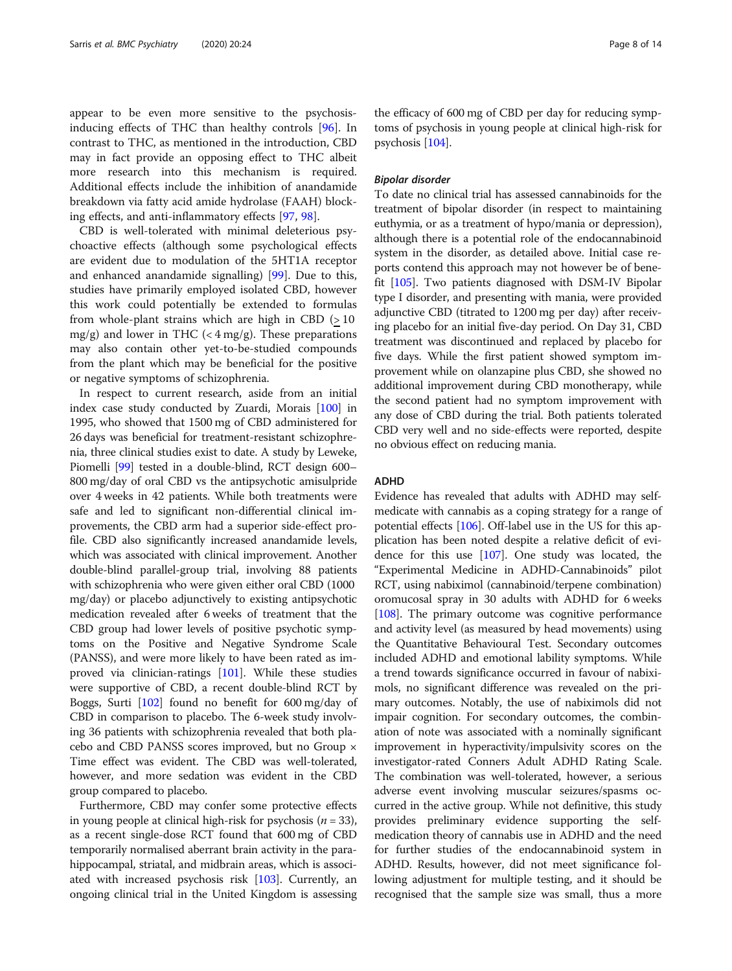appear to be even more sensitive to the psychosisinducing effects of THC than healthy controls [\[96](#page-12-0)]. In contrast to THC, as mentioned in the introduction, CBD may in fact provide an opposing effect to THC albeit more research into this mechanism is required. Additional effects include the inhibition of anandamide breakdown via fatty acid amide hydrolase (FAAH) blocking effects, and anti-inflammatory effects [\[97](#page-12-0), [98\]](#page-12-0).

CBD is well-tolerated with minimal deleterious psychoactive effects (although some psychological effects are evident due to modulation of the 5HT1A receptor and enhanced anandamide signalling) [\[99](#page-12-0)]. Due to this, studies have primarily employed isolated CBD, however this work could potentially be extended to formulas from whole-plant strains which are high in CBD  $(>10$ mg/g) and lower in THC  $( $4 \text{ mg/g}$ ). These preparations$ may also contain other yet-to-be-studied compounds from the plant which may be beneficial for the positive or negative symptoms of schizophrenia.

In respect to current research, aside from an initial index case study conducted by Zuardi, Morais [\[100\]](#page-12-0) in 1995, who showed that 1500 mg of CBD administered for 26 days was beneficial for treatment-resistant schizophrenia, three clinical studies exist to date. A study by Leweke, Piomelli [\[99](#page-12-0)] tested in a double-blind, RCT design 600– 800 mg/day of oral CBD vs the antipsychotic amisulpride over 4 weeks in 42 patients. While both treatments were safe and led to significant non-differential clinical improvements, the CBD arm had a superior side-effect profile. CBD also significantly increased anandamide levels, which was associated with clinical improvement. Another double-blind parallel-group trial, involving 88 patients with schizophrenia who were given either oral CBD (1000 mg/day) or placebo adjunctively to existing antipsychotic medication revealed after 6 weeks of treatment that the CBD group had lower levels of positive psychotic symptoms on the Positive and Negative Syndrome Scale (PANSS), and were more likely to have been rated as improved via clinician-ratings [\[101\]](#page-12-0). While these studies were supportive of CBD, a recent double-blind RCT by Boggs, Surti [\[102\]](#page-12-0) found no benefit for 600 mg/day of CBD in comparison to placebo. The 6-week study involving 36 patients with schizophrenia revealed that both placebo and CBD PANSS scores improved, but no Group × Time effect was evident. The CBD was well-tolerated, however, and more sedation was evident in the CBD group compared to placebo.

Furthermore, CBD may confer some protective effects in young people at clinical high-risk for psychosis ( $n = 33$ ), as a recent single-dose RCT found that 600 mg of CBD temporarily normalised aberrant brain activity in the parahippocampal, striatal, and midbrain areas, which is associated with increased psychosis risk [\[103\]](#page-12-0). Currently, an ongoing clinical trial in the United Kingdom is assessing the efficacy of 600 mg of CBD per day for reducing symptoms of psychosis in young people at clinical high-risk for psychosis [\[104](#page-12-0)].

#### Bipolar disorder

To date no clinical trial has assessed cannabinoids for the treatment of bipolar disorder (in respect to maintaining euthymia, or as a treatment of hypo/mania or depression), although there is a potential role of the endocannabinoid system in the disorder, as detailed above. Initial case reports contend this approach may not however be of benefit [[105](#page-13-0)]. Two patients diagnosed with DSM-IV Bipolar type I disorder, and presenting with mania, were provided adjunctive CBD (titrated to 1200 mg per day) after receiving placebo for an initial five-day period. On Day 31, CBD treatment was discontinued and replaced by placebo for five days. While the first patient showed symptom improvement while on olanzapine plus CBD, she showed no additional improvement during CBD monotherapy, while the second patient had no symptom improvement with any dose of CBD during the trial. Both patients tolerated CBD very well and no side-effects were reported, despite no obvious effect on reducing mania.

#### ADHD

Evidence has revealed that adults with ADHD may selfmedicate with cannabis as a coping strategy for a range of potential effects [\[106\]](#page-13-0). Off-label use in the US for this application has been noted despite a relative deficit of evidence for this use [\[107\]](#page-13-0). One study was located, the "Experimental Medicine in ADHD-Cannabinoids" pilot RCT, using nabiximol (cannabinoid/terpene combination) oromucosal spray in 30 adults with ADHD for 6 weeks [[108](#page-13-0)]. The primary outcome was cognitive performance and activity level (as measured by head movements) using the Quantitative Behavioural Test. Secondary outcomes included ADHD and emotional lability symptoms. While a trend towards significance occurred in favour of nabiximols, no significant difference was revealed on the primary outcomes. Notably, the use of nabiximols did not impair cognition. For secondary outcomes, the combination of note was associated with a nominally significant improvement in hyperactivity/impulsivity scores on the investigator-rated Conners Adult ADHD Rating Scale. The combination was well-tolerated, however, a serious adverse event involving muscular seizures/spasms occurred in the active group. While not definitive, this study provides preliminary evidence supporting the selfmedication theory of cannabis use in ADHD and the need for further studies of the endocannabinoid system in ADHD. Results, however, did not meet significance following adjustment for multiple testing, and it should be recognised that the sample size was small, thus a more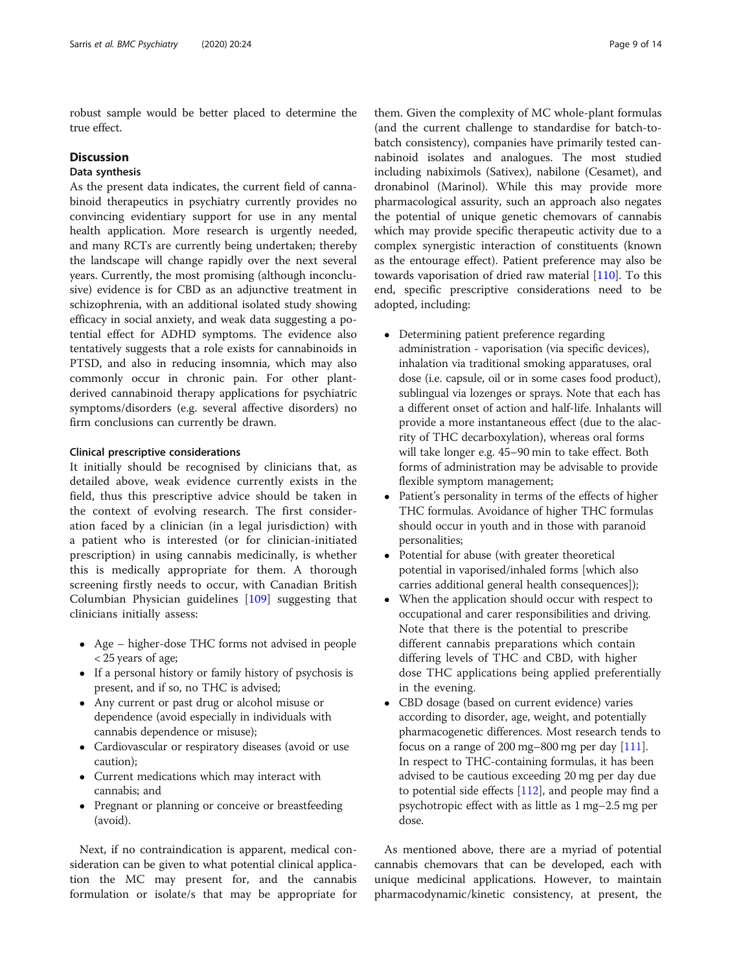robust sample would be better placed to determine the true effect.

#### **Discussion**

### Data synthesis

As the present data indicates, the current field of cannabinoid therapeutics in psychiatry currently provides no convincing evidentiary support for use in any mental health application. More research is urgently needed, and many RCTs are currently being undertaken; thereby the landscape will change rapidly over the next several years. Currently, the most promising (although inconclusive) evidence is for CBD as an adjunctive treatment in schizophrenia, with an additional isolated study showing efficacy in social anxiety, and weak data suggesting a potential effect for ADHD symptoms. The evidence also tentatively suggests that a role exists for cannabinoids in PTSD, and also in reducing insomnia, which may also commonly occur in chronic pain. For other plantderived cannabinoid therapy applications for psychiatric symptoms/disorders (e.g. several affective disorders) no firm conclusions can currently be drawn.

#### Clinical prescriptive considerations

It initially should be recognised by clinicians that, as detailed above, weak evidence currently exists in the field, thus this prescriptive advice should be taken in the context of evolving research. The first consideration faced by a clinician (in a legal jurisdiction) with a patient who is interested (or for clinician-initiated prescription) in using cannabis medicinally, is whether this is medically appropriate for them. A thorough screening firstly needs to occur, with Canadian British Columbian Physician guidelines [\[109](#page-13-0)] suggesting that clinicians initially assess:

- Age higher-dose THC forms not advised in people < 25 years of age;
- If a personal history or family history of psychosis is present, and if so, no THC is advised;
- Any current or past drug or alcohol misuse or dependence (avoid especially in individuals with cannabis dependence or misuse);
- Cardiovascular or respiratory diseases (avoid or use caution);
- Current medications which may interact with cannabis; and
- Pregnant or planning or conceive or breastfeeding (avoid).

Next, if no contraindication is apparent, medical consideration can be given to what potential clinical application the MC may present for, and the cannabis formulation or isolate/s that may be appropriate for

them. Given the complexity of MC whole-plant formulas (and the current challenge to standardise for batch-tobatch consistency), companies have primarily tested cannabinoid isolates and analogues. The most studied including nabiximols (Sativex), nabilone (Cesamet), and dronabinol (Marinol). While this may provide more pharmacological assurity, such an approach also negates the potential of unique genetic chemovars of cannabis which may provide specific therapeutic activity due to a complex synergistic interaction of constituents (known as the entourage effect). Patient preference may also be towards vaporisation of dried raw material [[110\]](#page-13-0). To this end, specific prescriptive considerations need to be adopted, including:

- Determining patient preference regarding administration - vaporisation (via specific devices), inhalation via traditional smoking apparatuses, oral dose (i.e. capsule, oil or in some cases food product), sublingual via lozenges or sprays. Note that each has a different onset of action and half-life. Inhalants will provide a more instantaneous effect (due to the alacrity of THC decarboxylation), whereas oral forms will take longer e.g. 45–90 min to take effect. Both forms of administration may be advisable to provide flexible symptom management;
- Patient's personality in terms of the effects of higher THC formulas. Avoidance of higher THC formulas should occur in youth and in those with paranoid personalities;
- Potential for abuse (with greater theoretical potential in vaporised/inhaled forms [which also carries additional general health consequences]);
- When the application should occur with respect to occupational and carer responsibilities and driving. Note that there is the potential to prescribe different cannabis preparations which contain differing levels of THC and CBD, with higher dose THC applications being applied preferentially in the evening.
- CBD dosage (based on current evidence) varies according to disorder, age, weight, and potentially pharmacogenetic differences. Most research tends to focus on a range of 200 mg–800 mg per day  $[111]$  $[111]$  $[111]$ . In respect to THC-containing formulas, it has been advised to be cautious exceeding 20 mg per day due to potential side effects [[112](#page-13-0)], and people may find a psychotropic effect with as little as 1 mg–2.5 mg per dose.

As mentioned above, there are a myriad of potential cannabis chemovars that can be developed, each with unique medicinal applications. However, to maintain pharmacodynamic/kinetic consistency, at present, the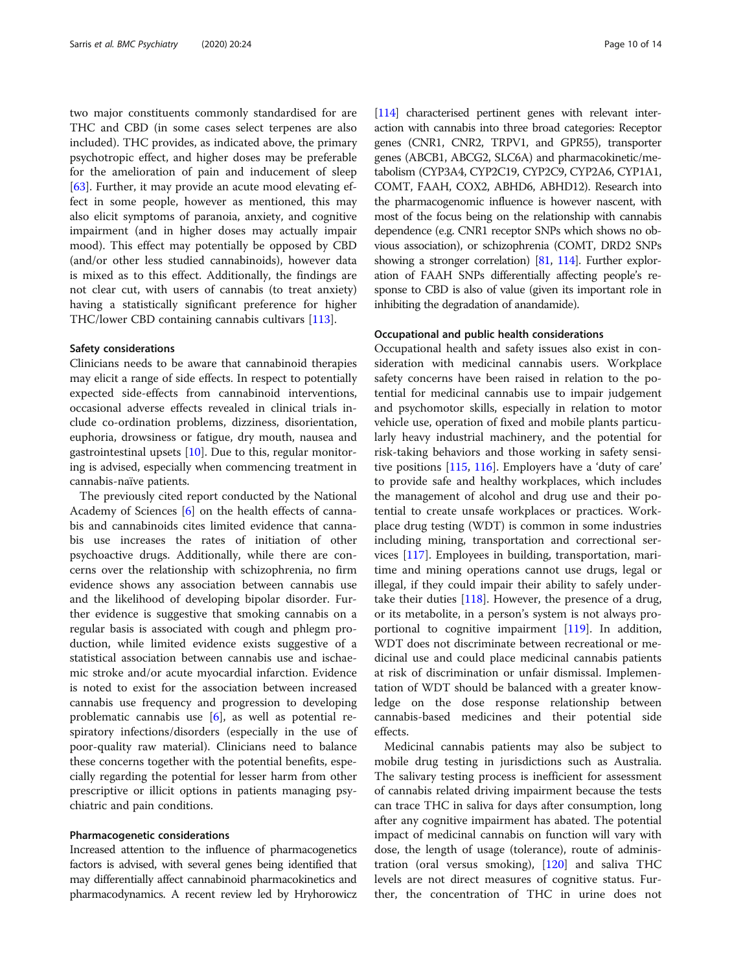two major constituents commonly standardised for are THC and CBD (in some cases select terpenes are also included). THC provides, as indicated above, the primary psychotropic effect, and higher doses may be preferable for the amelioration of pain and inducement of sleep [[63\]](#page-12-0). Further, it may provide an acute mood elevating effect in some people, however as mentioned, this may also elicit symptoms of paranoia, anxiety, and cognitive impairment (and in higher doses may actually impair mood). This effect may potentially be opposed by CBD (and/or other less studied cannabinoids), however data is mixed as to this effect. Additionally, the findings are not clear cut, with users of cannabis (to treat anxiety) having a statistically significant preference for higher THC/lower CBD containing cannabis cultivars [\[113\]](#page-13-0).

#### Safety considerations

Clinicians needs to be aware that cannabinoid therapies may elicit a range of side effects. In respect to potentially expected side-effects from cannabinoid interventions, occasional adverse effects revealed in clinical trials include co-ordination problems, dizziness, disorientation, euphoria, drowsiness or fatigue, dry mouth, nausea and gastrointestinal upsets  $[10]$  $[10]$  $[10]$ . Due to this, regular monitoring is advised, especially when commencing treatment in cannabis-naïve patients.

The previously cited report conducted by the National Academy of Sciences [[6\]](#page-11-0) on the health effects of cannabis and cannabinoids cites limited evidence that cannabis use increases the rates of initiation of other psychoactive drugs. Additionally, while there are concerns over the relationship with schizophrenia, no firm evidence shows any association between cannabis use and the likelihood of developing bipolar disorder. Further evidence is suggestive that smoking cannabis on a regular basis is associated with cough and phlegm production, while limited evidence exists suggestive of a statistical association between cannabis use and ischaemic stroke and/or acute myocardial infarction. Evidence is noted to exist for the association between increased cannabis use frequency and progression to developing problematic cannabis use  $[6]$  $[6]$ , as well as potential respiratory infections/disorders (especially in the use of poor-quality raw material). Clinicians need to balance these concerns together with the potential benefits, especially regarding the potential for lesser harm from other prescriptive or illicit options in patients managing psychiatric and pain conditions.

#### Pharmacogenetic considerations

Increased attention to the influence of pharmacogenetics factors is advised, with several genes being identified that may differentially affect cannabinoid pharmacokinetics and pharmacodynamics. A recent review led by Hryhorowicz

[[114\]](#page-13-0) characterised pertinent genes with relevant interaction with cannabis into three broad categories: Receptor genes (CNR1, CNR2, TRPV1, and GPR55), transporter genes (ABCB1, ABCG2, SLC6A) and pharmacokinetic/metabolism (CYP3A4, CYP2C19, CYP2C9, CYP2A6, CYP1A1, COMT, FAAH, COX2, ABHD6, ABHD12). Research into the pharmacogenomic influence is however nascent, with most of the focus being on the relationship with cannabis dependence (e.g. CNR1 receptor SNPs which shows no obvious association), or schizophrenia (COMT, DRD2 SNPs showing a stronger correlation) [\[81,](#page-12-0) [114\]](#page-13-0). Further exploration of FAAH SNPs differentially affecting people's response to CBD is also of value (given its important role in inhibiting the degradation of anandamide).

#### Occupational and public health considerations

Occupational health and safety issues also exist in consideration with medicinal cannabis users. Workplace safety concerns have been raised in relation to the potential for medicinal cannabis use to impair judgement and psychomotor skills, especially in relation to motor vehicle use, operation of fixed and mobile plants particularly heavy industrial machinery, and the potential for risk-taking behaviors and those working in safety sensitive positions [[115,](#page-13-0) [116\]](#page-13-0). Employers have a 'duty of care' to provide safe and healthy workplaces, which includes the management of alcohol and drug use and their potential to create unsafe workplaces or practices. Workplace drug testing (WDT) is common in some industries including mining, transportation and correctional services [\[117\]](#page-13-0). Employees in building, transportation, maritime and mining operations cannot use drugs, legal or illegal, if they could impair their ability to safely undertake their duties [\[118\]](#page-13-0). However, the presence of a drug, or its metabolite, in a person's system is not always proportional to cognitive impairment [\[119\]](#page-13-0). In addition, WDT does not discriminate between recreational or medicinal use and could place medicinal cannabis patients at risk of discrimination or unfair dismissal. Implementation of WDT should be balanced with a greater knowledge on the dose response relationship between cannabis-based medicines and their potential side effects.

Medicinal cannabis patients may also be subject to mobile drug testing in jurisdictions such as Australia. The salivary testing process is inefficient for assessment of cannabis related driving impairment because the tests can trace THC in saliva for days after consumption, long after any cognitive impairment has abated. The potential impact of medicinal cannabis on function will vary with dose, the length of usage (tolerance), route of administration (oral versus smoking), [\[120](#page-13-0)] and saliva THC levels are not direct measures of cognitive status. Further, the concentration of THC in urine does not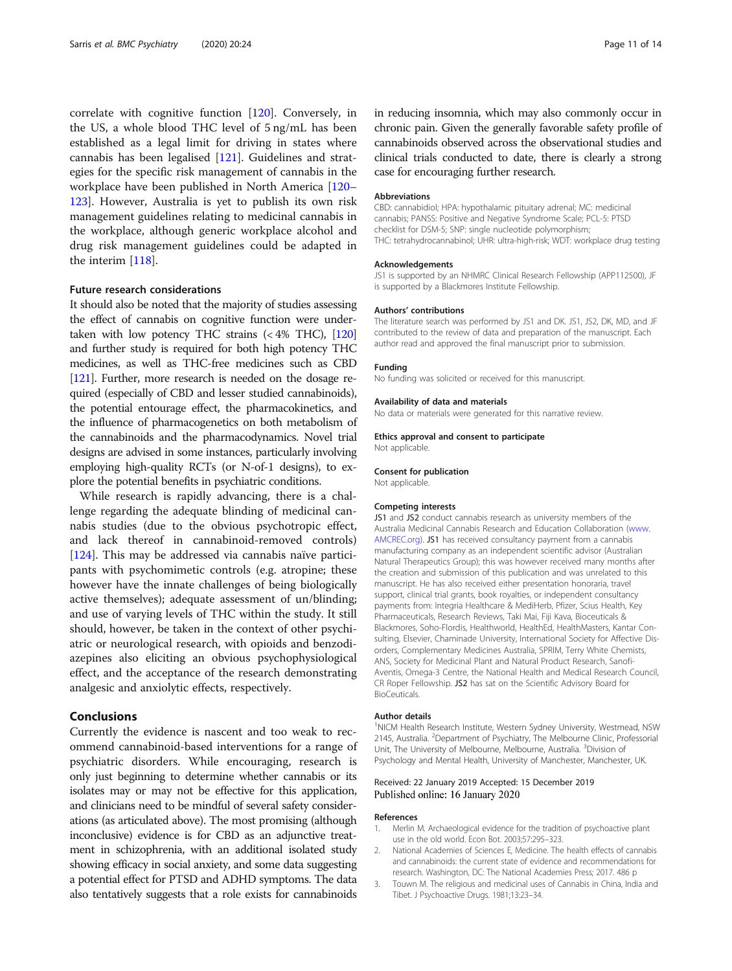<span id="page-10-0"></span>correlate with cognitive function [\[120\]](#page-13-0). Conversely, in the US, a whole blood THC level of 5 ng/mL has been established as a legal limit for driving in states where cannabis has been legalised [\[121](#page-13-0)]. Guidelines and strategies for the specific risk management of cannabis in the workplace have been published in North America [[120](#page-13-0)– [123](#page-13-0)]. However, Australia is yet to publish its own risk management guidelines relating to medicinal cannabis in the workplace, although generic workplace alcohol and drug risk management guidelines could be adapted in the interim [[118](#page-13-0)].

#### Future research considerations

It should also be noted that the majority of studies assessing the effect of cannabis on cognitive function were undertaken with low potency THC strains  $( $4\%$  THC), [120]$  $( $4\%$  THC), [120]$  $( $4\%$  THC), [120]$ and further study is required for both high potency THC medicines, as well as THC-free medicines such as CBD [[121\]](#page-13-0). Further, more research is needed on the dosage required (especially of CBD and lesser studied cannabinoids), the potential entourage effect, the pharmacokinetics, and the influence of pharmacogenetics on both metabolism of the cannabinoids and the pharmacodynamics. Novel trial designs are advised in some instances, particularly involving employing high-quality RCTs (or N-of-1 designs), to explore the potential benefits in psychiatric conditions.

While research is rapidly advancing, there is a challenge regarding the adequate blinding of medicinal cannabis studies (due to the obvious psychotropic effect, and lack thereof in cannabinoid-removed controls) [[124\]](#page-13-0). This may be addressed via cannabis naïve participants with psychomimetic controls (e.g. atropine; these however have the innate challenges of being biologically active themselves); adequate assessment of un/blinding; and use of varying levels of THC within the study. It still should, however, be taken in the context of other psychiatric or neurological research, with opioids and benzodiazepines also eliciting an obvious psychophysiological effect, and the acceptance of the research demonstrating analgesic and anxiolytic effects, respectively.

#### Conclusions

Currently the evidence is nascent and too weak to recommend cannabinoid-based interventions for a range of psychiatric disorders. While encouraging, research is only just beginning to determine whether cannabis or its isolates may or may not be effective for this application, and clinicians need to be mindful of several safety considerations (as articulated above). The most promising (although inconclusive) evidence is for CBD as an adjunctive treatment in schizophrenia, with an additional isolated study showing efficacy in social anxiety, and some data suggesting a potential effect for PTSD and ADHD symptoms. The data also tentatively suggests that a role exists for cannabinoids in reducing insomnia, which may also commonly occur in chronic pain. Given the generally favorable safety profile of cannabinoids observed across the observational studies and clinical trials conducted to date, there is clearly a strong case for encouraging further research.

#### Abbreviations

CBD: cannabidiol; HPA: hypothalamic pituitary adrenal; MC: medicinal cannabis; PANSS: Positive and Negative Syndrome Scale; PCL-5: PTSD checklist for DSM-5; SNP: single nucleotide polymorphism; THC: tetrahydrocannabinol; UHR: ultra-high-risk; WDT: workplace drug testing

#### Acknowledgements

JS1 is supported by an NHMRC Clinical Research Fellowship (APP112500), JF is supported by a Blackmores Institute Fellowship.

#### Authors' contributions

The literature search was performed by JS1 and DK. JS1, JS2, DK, MD, and JF contributed to the review of data and preparation of the manuscript. Each author read and approved the final manuscript prior to submission.

#### No funding was solicited or received for this manuscript.

Funding

Availability of data and materials

No data or materials were generated for this narrative review.

#### Ethics approval and consent to participate

Not applicable.

#### Consent for publication

Not applicable.

#### Competing interests

JS1 and JS2 conduct cannabis research as university members of the Australia Medicinal Cannabis Research and Education Collaboration ([www.](http://www.amcrec.org) [AMCREC.org](http://www.amcrec.org)). JS1 has received consultancy payment from a cannabis manufacturing company as an independent scientific advisor (Australian Natural Therapeutics Group); this was however received many months after the creation and submission of this publication and was unrelated to this manuscript. He has also received either presentation honoraria, travel support, clinical trial grants, book royalties, or independent consultancy payments from: Integria Healthcare & MediHerb, Pfizer, Scius Health, Key Pharmaceuticals, Research Reviews, Taki Mai, Fiji Kava, Bioceuticals & Blackmores, Soho-Flordis, Healthworld, HealthEd, HealthMasters, Kantar Consulting, Elsevier, Chaminade University, International Society for Affective Disorders, Complementary Medicines Australia, SPRIM, Terry White Chemists, ANS, Society for Medicinal Plant and Natural Product Research, Sanofi-Aventis, Omega-3 Centre, the National Health and Medical Research Council, CR Roper Fellowship. JS2 has sat on the Scientific Advisory Board for BioCeuticals.

#### Author details

<sup>1</sup>NICM Health Research Institute, Western Sydney University, Westmead, NSW 2145, Australia. <sup>2</sup>Department of Psychiatry, The Melbourne Clinic, Professorial Unit, The University of Melbourne, Melbourne, Australia. <sup>3</sup> Division of Psychology and Mental Health, University of Manchester, Manchester, UK.

#### Received: 22 January 2019 Accepted: 15 December 2019 Published online: 16 January 2020

#### References

- 1. Merlin M. Archaeological evidence for the tradition of psychoactive plant use in the old world. Econ Bot. 2003;57:295–323.
- 2. National Academies of Sciences E, Medicine. The health effects of cannabis and cannabinoids: the current state of evidence and recommendations for research. Washington, DC: The National Academies Press; 2017. 486 p
- 3. Touwn M. The religious and medicinal uses of Cannabis in China, India and Tibet. J Psychoactive Drugs. 1981;13:23–34.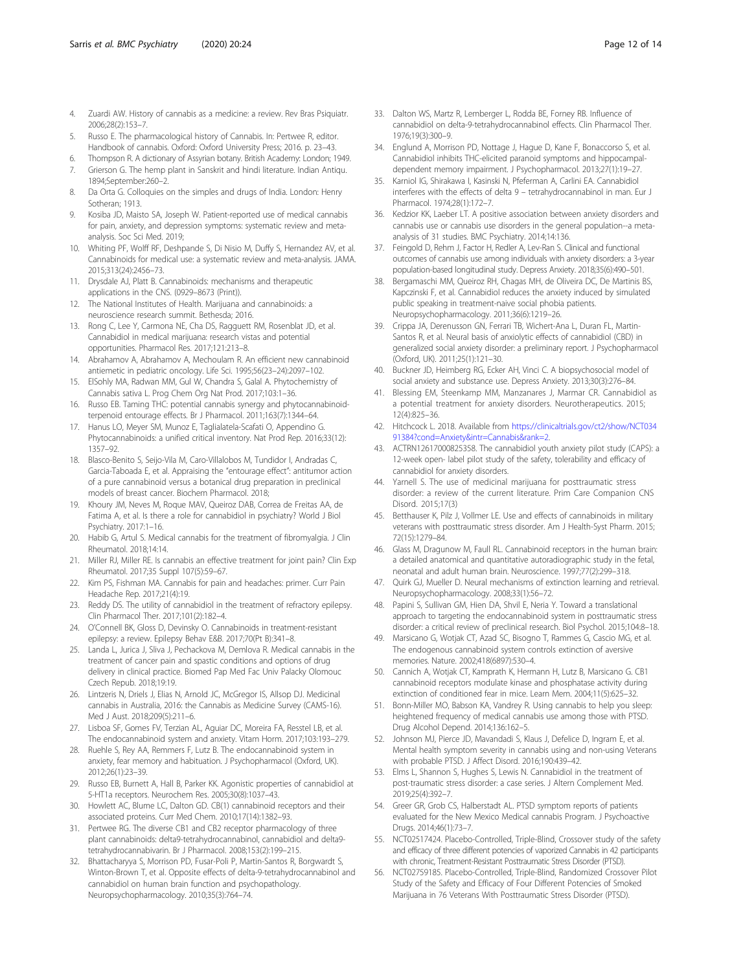- <span id="page-11-0"></span>4. Zuardi AW. History of cannabis as a medicine: a review. Rev Bras Psiquiatr. 2006;28(2):153–7.
- 5. Russo E. The pharmacological history of Cannabis. In: Pertwee R, editor. Handbook of cannabis. Oxford: Oxford University Press; 2016. p. 23–43.
- 6. Thompson R. A dictionary of Assyrian botany. British Academy: London; 1949. 7. Grierson G. The hemp plant in Sanskrit and hindi literature. Indian Antiqu.
- 1894;September:260–2. 8. Da Orta G. Colloquies on the simples and drugs of India. London: Henry Sotheran; 1913.
- 9. Kosiba JD, Maisto SA, Joseph W. Patient-reported use of medical cannabis for pain, anxiety, and depression symptoms: systematic review and metaanalysis. Soc Sci Med. 2019;
- 10. Whiting PF, Wolff RF, Deshpande S, Di Nisio M, Duffy S, Hernandez AV, et al. Cannabinoids for medical use: a systematic review and meta-analysis. JAMA. 2015;313(24):2456–73.
- 11. Drysdale AJ, Platt B. Cannabinoids: mechanisms and therapeutic applications in the CNS. (0929–8673 (Print)).
- 12. The National Institutes of Health. Marijuana and cannabinoids: a neuroscience research summit. Bethesda; 2016.
- 13. Rong C, Lee Y, Carmona NE, Cha DS, Ragguett RM, Rosenblat JD, et al. Cannabidiol in medical marijuana: research vistas and potential opportunities. Pharmacol Res. 2017;121:213–8.
- 14. Abrahamov A, Abrahamov A, Mechoulam R. An efficient new cannabinoid antiemetic in pediatric oncology. Life Sci. 1995;56(23–24):2097–102.
- 15. ElSohly MA, Radwan MM, Gul W, Chandra S, Galal A. Phytochemistry of Cannabis sativa L. Prog Chem Org Nat Prod. 2017;103:1–36.
- 16. Russo EB. Taming THC: potential cannabis synergy and phytocannabinoidterpenoid entourage effects. Br J Pharmacol. 2011;163(7):1344–64.
- 17. Hanus LO, Meyer SM, Munoz E, Taglialatela-Scafati O, Appendino G. Phytocannabinoids: a unified critical inventory. Nat Prod Rep. 2016;33(12): 1357–92.
- 18. Blasco-Benito S, Seijo-Vila M, Caro-Villalobos M, Tundidor I, Andradas C, Garcia-Taboada E, et al. Appraising the "entourage effect": antitumor action of a pure cannabinoid versus a botanical drug preparation in preclinical models of breast cancer. Biochem Pharmacol. 2018;
- 19. Khoury JM, Neves M, Roque MAV, Queiroz DAB, Correa de Freitas AA, de Fatima A, et al. Is there a role for cannabidiol in psychiatry? World J Biol Psychiatry. 2017:1–16.
- 20. Habib G, Artul S. Medical cannabis for the treatment of fibromyalgia. J Clin Rheumatol. 2018;14:14.
- 21. Miller RJ, Miller RE. Is cannabis an effective treatment for joint pain? Clin Exp Rheumatol. 2017;35 Suppl 107(5):59–67.
- 22. Kim PS, Fishman MA. Cannabis for pain and headaches: primer. Curr Pain Headache Rep. 2017;21(4):19.
- 23. Reddy DS. The utility of cannabidiol in the treatment of refractory epilepsy. Clin Pharmacol Ther. 2017;101(2):182–4.
- O'Connell BK, Gloss D, Devinsky O. Cannabinoids in treatment-resistant epilepsy: a review. Epilepsy Behav E&B. 2017;70(Pt B):341–8.
- 25. Landa L, Jurica J, Sliva J, Pechackova M, Demlova R. Medical cannabis in the treatment of cancer pain and spastic conditions and options of drug delivery in clinical practice. Biomed Pap Med Fac Univ Palacky Olomouc Czech Repub. 2018;19:19.
- 26. Lintzeris N, Driels J, Elias N, Arnold JC, McGregor IS, Allsop DJ. Medicinal cannabis in Australia, 2016: the Cannabis as Medicine Survey (CAMS-16). Med J Aust. 2018;209(5):211–6.
- 27. Lisboa SF, Gomes FV, Terzian AL, Aguiar DC, Moreira FA, Resstel LB, et al. The endocannabinoid system and anxiety. Vitam Horm. 2017;103:193–279.
- 28. Ruehle S, Rey AA, Remmers F, Lutz B. The endocannabinoid system in anxiety, fear memory and habituation. J Psychopharmacol (Oxford, UK). 2012;26(1):23–39.
- 29. Russo EB, Burnett A, Hall B, Parker KK. Agonistic properties of cannabidiol at 5-HT1a receptors. Neurochem Res. 2005;30(8):1037–43.
- 30. Howlett AC, Blume LC, Dalton GD. CB(1) cannabinoid receptors and their associated proteins. Curr Med Chem. 2010;17(14):1382–93.
- 31. Pertwee RG. The diverse CB1 and CB2 receptor pharmacology of three plant cannabinoids: delta9-tetrahydrocannabinol, cannabidiol and delta9 tetrahydrocannabivarin. Br J Pharmacol. 2008;153(2):199–215.
- 32. Bhattacharyya S, Morrison PD, Fusar-Poli P, Martin-Santos R, Borgwardt S, Winton-Brown T, et al. Opposite effects of delta-9-tetrahydrocannabinol and cannabidiol on human brain function and psychopathology. Neuropsychopharmacology. 2010;35(3):764–74.
- 33. Dalton WS, Martz R, Lemberger L, Rodda BE, Forney RB. Influence of cannabidiol on delta-9-tetrahydrocannabinol effects. Clin Pharmacol Ther. 1976;19(3):300–9.
- 34. Englund A, Morrison PD, Nottage J, Hague D, Kane F, Bonaccorso S, et al. Cannabidiol inhibits THC-elicited paranoid symptoms and hippocampaldependent memory impairment. J Psychopharmacol. 2013;27(1):19–27.
- 35. Karniol IG, Shirakawa I, Kasinski N, Pfeferman A, Carlini EA. Cannabidiol interferes with the effects of delta 9 – tetrahydrocannabinol in man. Eur J Pharmacol. 1974;28(1):172–7.
- 36. Kedzior KK, Laeber LT. A positive association between anxiety disorders and cannabis use or cannabis use disorders in the general population--a metaanalysis of 31 studies. BMC Psychiatry. 2014;14:136.
- 37. Feingold D, Rehm J, Factor H, Redler A, Lev-Ran S. Clinical and functional outcomes of cannabis use among individuals with anxiety disorders: a 3-year population-based longitudinal study. Depress Anxiety. 2018;35(6):490–501.
- 38. Bergamaschi MM, Queiroz RH, Chagas MH, de Oliveira DC, De Martinis BS, Kapczinski F, et al. Cannabidiol reduces the anxiety induced by simulated public speaking in treatment-naive social phobia patients. Neuropsychopharmacology. 2011;36(6):1219–26.
- 39. Crippa JA, Derenusson GN, Ferrari TB, Wichert-Ana L, Duran FL, Martin-Santos R, et al. Neural basis of anxiolytic effects of cannabidiol (CBD) in generalized social anxiety disorder: a preliminary report. J Psychopharmacol (Oxford, UK). 2011;25(1):121–30.
- 40. Buckner JD, Heimberg RG, Ecker AH, Vinci C. A biopsychosocial model of social anxiety and substance use. Depress Anxiety. 2013;30(3):276–84.
- 41. Blessing EM, Steenkamp MM, Manzanares J, Marmar CR. Cannabidiol as a potential treatment for anxiety disorders. Neurotherapeutics. 2015; 12(4):825–36.
- 42. Hitchcock L. 2018. Available from [https://clinicaltrials.gov/ct2/show/NCT034](https://clinicaltrials.gov/ct2/show/NCT03491384?cond=Anxiety&intr=Cannabis&rank=2) [91384?cond=Anxiety&intr=Cannabis&rank=2.](https://clinicaltrials.gov/ct2/show/NCT03491384?cond=Anxiety&intr=Cannabis&rank=2)
- 43. ACTRN12617000825358. The cannabidiol youth anxiety pilot study (CAPS): a 12-week open- label pilot study of the safety, tolerability and efficacy of cannabidiol for anxiety disorders.
- 44. Yarnell S. The use of medicinal marijuana for posttraumatic stress disorder: a review of the current literature. Prim Care Companion CNS Disord. 2015;17(3)
- 45. Betthauser K, Pilz J, Vollmer LE. Use and effects of cannabinoids in military veterans with posttraumatic stress disorder. Am J Health-Syst Pharm. 2015; 72(15):1279–84.
- 46. Glass M, Dragunow M, Faull RL. Cannabinoid receptors in the human brain: a detailed anatomical and quantitative autoradiographic study in the fetal, neonatal and adult human brain. Neuroscience. 1997;77(2):299–318.
- 47. Quirk GJ, Mueller D. Neural mechanisms of extinction learning and retrieval. Neuropsychopharmacology. 2008;33(1):56–72.
- 48. Papini S, Sullivan GM, Hien DA, Shvil E, Neria Y. Toward a translational approach to targeting the endocannabinoid system in posttraumatic stress disorder: a critical review of preclinical research. Biol Psychol. 2015;104:8–18.
- 49. Marsicano G, Wotjak CT, Azad SC, Bisogno T, Rammes G, Cascio MG, et al. The endogenous cannabinoid system controls extinction of aversive memories. Nature. 2002;418(6897):530–4.
- 50. Cannich A, Wotjak CT, Kamprath K, Hermann H, Lutz B, Marsicano G. CB1 cannabinoid receptors modulate kinase and phosphatase activity during extinction of conditioned fear in mice. Learn Mem. 2004;11(5):625–32.
- 51. Bonn-Miller MO, Babson KA, Vandrey R. Using cannabis to help you sleep: heightened frequency of medical cannabis use among those with PTSD. Drug Alcohol Depend. 2014;136:162–5.
- 52. Johnson MJ, Pierce JD, Mavandadi S, Klaus J, Defelice D, Ingram E, et al. Mental health symptom severity in cannabis using and non-using Veterans with probable PTSD. J Affect Disord. 2016;190:439–42.
- 53. Elms L, Shannon S, Hughes S, Lewis N. Cannabidiol in the treatment of post-traumatic stress disorder: a case series. J Altern Complement Med. 2019;25(4):392–7.
- 54. Greer GR, Grob CS, Halberstadt AL. PTSD symptom reports of patients evaluated for the New Mexico Medical cannabis Program. J Psychoactive Drugs. 2014;46(1):73–7.
- 55. NCT02517424. Placebo-Controlled, Triple-Blind, Crossover study of the safety and efficacy of three different potencies of vaporized Cannabis in 42 participants with chronic, Treatment-Resistant Posttraumatic Stress Disorder (PTSD).
- 56. NCT02759185. Placebo-Controlled, Triple-Blind, Randomized Crossover Pilot Study of the Safety and Efficacy of Four Different Potencies of Smoked Marijuana in 76 Veterans With Posttraumatic Stress Disorder (PTSD).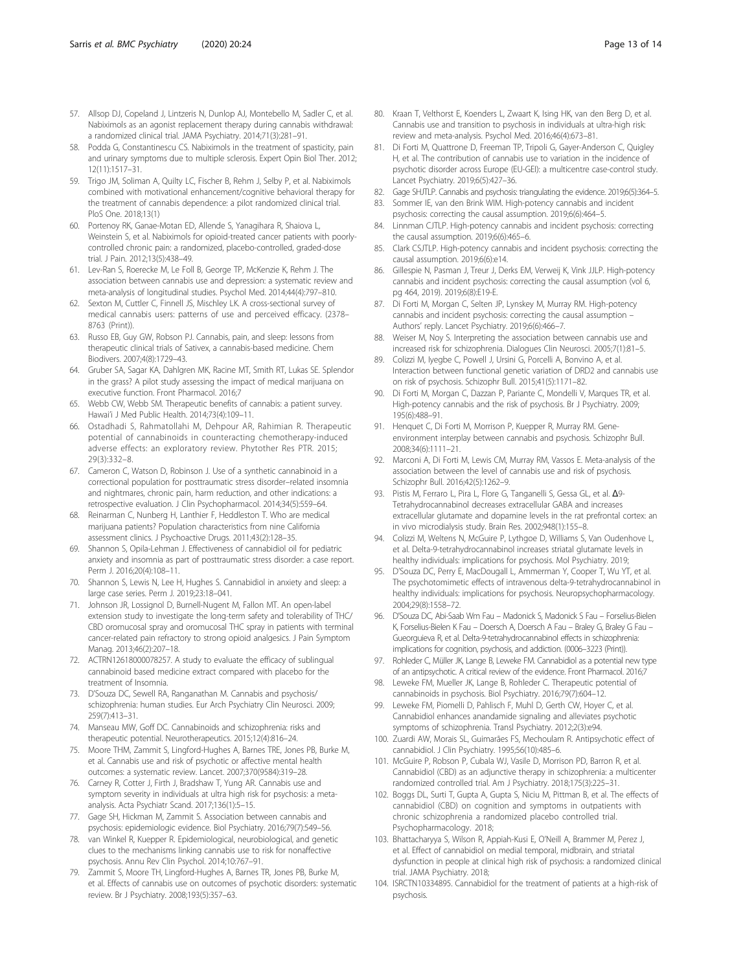- <span id="page-12-0"></span>57. Allsop DJ, Copeland J, Lintzeris N, Dunlop AJ, Montebello M, Sadler C, et al. Nabiximols as an agonist replacement therapy during cannabis withdrawal: a randomized clinical trial. JAMA Psychiatry. 2014;71(3):281–91.
- 58. Podda G, Constantinescu CS. Nabiximols in the treatment of spasticity, pain and urinary symptoms due to multiple sclerosis. Expert Opin Biol Ther. 2012; 12(11):1517–31.
- 59. Trigo JM, Soliman A, Quilty LC, Fischer B, Rehm J, Selby P, et al. Nabiximols combined with motivational enhancement/cognitive behavioral therapy for the treatment of cannabis dependence: a pilot randomized clinical trial. PloS One. 2018;13(1)
- 60. Portenoy RK, Ganae-Motan ED, Allende S, Yanagihara R, Shaiova L, Weinstein S, et al. Nabiximols for opioid-treated cancer patients with poorlycontrolled chronic pain: a randomized, placebo-controlled, graded-dose trial. J Pain. 2012;13(5):438–49.
- 61. Lev-Ran S, Roerecke M, Le Foll B, George TP, McKenzie K, Rehm J. The association between cannabis use and depression: a systematic review and meta-analysis of longitudinal studies. Psychol Med. 2014;44(4):797–810.
- 62. Sexton M, Cuttler C, Finnell JS, Mischley LK. A cross-sectional survey of medical cannabis users: patterns of use and perceived efficacy. (2378– 8763 (Print)).
- 63. Russo EB, Guy GW, Robson PJ. Cannabis, pain, and sleep: lessons from therapeutic clinical trials of Sativex, a cannabis-based medicine. Chem Biodivers. 2007;4(8):1729–43.
- 64. Gruber SA, Sagar KA, Dahlgren MK, Racine MT, Smith RT, Lukas SE. Splendor in the grass? A pilot study assessing the impact of medical marijuana on executive function. Front Pharmacol. 2016;7
- 65. Webb CW, Webb SM. Therapeutic benefits of cannabis: a patient survey. Hawai'i J Med Public Health. 2014;73(4):109–11.
- 66. Ostadhadi S, Rahmatollahi M, Dehpour AR, Rahimian R. Therapeutic potential of cannabinoids in counteracting chemotherapy-induced adverse effects: an exploratory review. Phytother Res PTR. 2015; 29(3):332–8.
- 67. Cameron C, Watson D, Robinson J. Use of a synthetic cannabinoid in a correctional population for posttraumatic stress disorder–related insomnia and nightmares, chronic pain, harm reduction, and other indications: a retrospective evaluation. J Clin Psychopharmacol. 2014;34(5):559–64.
- 68. Reinarman C, Nunberg H, Lanthier F, Heddleston T. Who are medical marijuana patients? Population characteristics from nine California assessment clinics. J Psychoactive Drugs. 2011;43(2):128–35.
- 69. Shannon S, Opila-Lehman J. Effectiveness of cannabidiol oil for pediatric anxiety and insomnia as part of posttraumatic stress disorder: a case report. Perm J. 2016;20(4):108–11.
- 70. Shannon S, Lewis N, Lee H, Hughes S. Cannabidiol in anxiety and sleep: a large case series. Perm J. 2019;23:18–041.
- 71. Johnson JR, Lossignol D, Burnell-Nugent M, Fallon MT. An open-label extension study to investigate the long-term safety and tolerability of THC/ CBD oromucosal spray and oromucosal THC spray in patients with terminal cancer-related pain refractory to strong opioid analgesics. J Pain Symptom Manag. 2013;46(2):207–18.
- 72. ACTRN12618000078257. A study to evaluate the efficacy of sublingual cannabinoid based medicine extract compared with placebo for the treatment of Insomnia.
- 73. D'Souza DC, Sewell RA, Ranganathan M. Cannabis and psychosis/ schizophrenia: human studies. Eur Arch Psychiatry Clin Neurosci. 2009; 259(7):413–31.
- 74. Manseau MW, Goff DC. Cannabinoids and schizophrenia: risks and therapeutic potential. Neurotherapeutics. 2015;12(4):816–24.
- 75. Moore THM, Zammit S, Lingford-Hughes A, Barnes TRE, Jones PB, Burke M, et al. Cannabis use and risk of psychotic or affective mental health outcomes: a systematic review. Lancet. 2007;370(9584):319–28.
- 76. Carney R, Cotter J, Firth J, Bradshaw T, Yung AR. Cannabis use and symptom severity in individuals at ultra high risk for psychosis: a metaanalysis. Acta Psychiatr Scand. 2017;136(1):5–15.
- 77. Gage SH, Hickman M, Zammit S. Association between cannabis and psychosis: epidemiologic evidence. Biol Psychiatry. 2016;79(7):549–56.
- 78. van Winkel R, Kuepper R. Epidemiological, neurobiological, and genetic clues to the mechanisms linking cannabis use to risk for nonaffective psychosis. Annu Rev Clin Psychol. 2014;10:767–91.
- 79. Zammit S, Moore TH, Lingford-Hughes A, Barnes TR, Jones PB, Burke M, et al. Effects of cannabis use on outcomes of psychotic disorders: systematic review. Br J Psychiatry. 2008;193(5):357–63.
- 80. Kraan T, Velthorst E, Koenders L, Zwaart K, Ising HK, van den Berg D, et al. Cannabis use and transition to psychosis in individuals at ultra-high risk: review and meta-analysis. Psychol Med. 2016;46(4):673–81.
- 81. Di Forti M, Quattrone D, Freeman TP, Tripoli G, Gayer-Anderson C, Quigley H, et al. The contribution of cannabis use to variation in the incidence of psychotic disorder across Europe (EU-GEI): a multicentre case-control study. Lancet Psychiatry. 2019;6(5):427–36.
- 82. Gage SHJTLP. Cannabis and psychosis: triangulating the evidence. 2019;6(5):364-5.
- 83. Sommer IE, van den Brink WIM. High-potency cannabis and incident psychosis: correcting the causal assumption. 2019;6(6):464–5.
- Linnman CJTLP. High-potency cannabis and incident psychosis: correcting the causal assumption. 2019;6(6):465–6.
- 85. Clark CSJTLP. High-potency cannabis and incident psychosis: correcting the causal assumption. 2019;6(6):e14.
- 86. Gillespie N, Pasman J, Treur J, Derks EM, Verweij K, Vink JJLP. High-potency cannabis and incident psychosis: correcting the causal assumption (vol 6, pg 464, 2019). 2019;6(8):E19-E.
- 87. Di Forti M, Morgan C, Selten JP, Lynskey M, Murray RM. High-potency cannabis and incident psychosis: correcting the causal assumption – Authors' reply. Lancet Psychiatry. 2019;6(6):466–7.
- 88. Weiser M, Noy S. Interpreting the association between cannabis use and increased risk for schizophrenia. Dialogues Clin Neurosci. 2005;7(1):81–5.
- 89. Colizzi M, Iyegbe C, Powell J, Ursini G, Porcelli A, Bonvino A, et al. Interaction between functional genetic variation of DRD2 and cannabis use on risk of psychosis. Schizophr Bull. 2015;41(5):1171–82.
- 90. Di Forti M, Morgan C, Dazzan P, Pariante C, Mondelli V, Marques TR, et al. High-potency cannabis and the risk of psychosis. Br J Psychiatry. 2009; 195(6):488–91.
- 91. Henquet C, Di Forti M, Morrison P, Kuepper R, Murray RM. Geneenvironment interplay between cannabis and psychosis. Schizophr Bull. 2008;34(6):1111–21.
- 92. Marconi A, Di Forti M, Lewis CM, Murray RM, Vassos E. Meta-analysis of the association between the level of cannabis use and risk of psychosis. Schizophr Bull. 2016;42(5):1262–9.
- 93. Pistis M, Ferraro L, Pira L, Flore G, Tanganelli S, Gessa GL, et al. Δ9-Tetrahydrocannabinol decreases extracellular GABA and increases extracellular glutamate and dopamine levels in the rat prefrontal cortex: an in vivo microdialysis study. Brain Res. 2002;948(1):155–8.
- 94. Colizzi M, Weltens N, McGuire P, Lythgoe D, Williams S, Van Oudenhove L, et al. Delta-9-tetrahydrocannabinol increases striatal glutamate levels in healthy individuals: implications for psychosis. Mol Psychiatry. 2019;
- 95. D'Souza DC, Perry E, MacDougall L, Ammerman Y, Cooper T, Wu YT, et al. The psychotomimetic effects of intravenous delta-9-tetrahydrocannabinol in healthy individuals: implications for psychosis. Neuropsychopharmacology. 2004;29(8):1558–72.
- 96. D'Souza DC, Abi-Saab Wm Fau Madonick S, Madonick S Fau Forselius-Bielen K, Forselius-Bielen K Fau – Doersch A, Doersch A Fau – Braley G, Braley G Fau – Gueorguieva R, et al. Delta-9-tetrahydrocannabinol effects in schizophrenia: implications for cognition, psychosis, and addiction. (0006–3223 (Print)).
- 97. Rohleder C, Müller JK, Lange B, Leweke FM. Cannabidiol as a potential new type of an antipsychotic. A critical review of the evidence. Front Pharmacol. 2016;7
- Leweke FM, Mueller JK, Lange B, Rohleder C. Therapeutic potential of cannabinoids in psychosis. Biol Psychiatry. 2016;79(7):604–12.
- 99. Leweke FM, Piomelli D, Pahlisch F, Muhl D, Gerth CW, Hoyer C, et al. Cannabidiol enhances anandamide signaling and alleviates psychotic symptoms of schizophrenia. Transl Psychiatry. 2012;2(3):e94.
- 100. Zuardi AW, Morais SL, Guimarães FS, Mechoulam R. Antipsychotic effect of cannabidiol. J Clin Psychiatry. 1995;56(10):485–6.
- 101. McGuire P, Robson P, Cubala WJ, Vasile D, Morrison PD, Barron R, et al. Cannabidiol (CBD) as an adjunctive therapy in schizophrenia: a multicenter randomized controlled trial. Am J Psychiatry. 2018;175(3):225–31.
- 102. Boggs DL, Surti T, Gupta A, Gupta S, Niciu M, Pittman B, et al. The effects of cannabidiol (CBD) on cognition and symptoms in outpatients with chronic schizophrenia a randomized placebo controlled trial. Psychopharmacology. 2018;
- 103. Bhattacharyya S, Wilson R, Appiah-Kusi E, O'Neill A, Brammer M, Perez J, et al. Effect of cannabidiol on medial temporal, midbrain, and striatal dysfunction in people at clinical high risk of psychosis: a randomized clinical trial. JAMA Psychiatry. 2018;
- 104. ISRCTN10334895. Cannabidiol for the treatment of patients at a high-risk of psychosis.